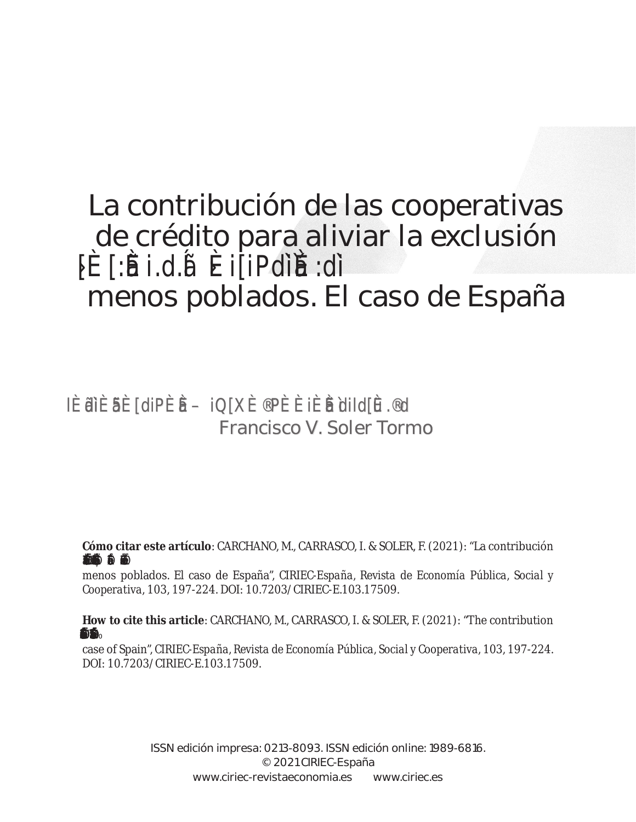## La contribución de las cooperativas de crédito para aliviar la exclusión **Ééi.d.éi[Pdi#di** menos poblados. El caso de España

### lédřé **5di Péé EPééié édild K**. d Francisco V. Soler Tormo

**Cómo citar este artículo**: CARCHANO, M., CARRASCO, I. & SOLER, F. (2021): "La contribución  $\bm{t}$  for  $\bm{t}$  and  $\bm{t}$ 

menos poblados. El caso de España", *CIRIEC-España, Revista de Economía Pública, Social y Cooperativa*, 103, 197-224. DOI: 10.7203/CIRIEC-E.103.17509.

**How to cite this article**: CARCHANO, M., CARRASCO, I. & SOLER, F. (2021): "The contribution  $\cdot$   $\ddot{\cdot}$ 

case of Spain", *CIRIEC-España, Revista de Economía Pública, Social y Cooperativa*, 103, 197-224. DOI: 10.7203/CIRIEC-E.103.17509.

> ISSN edición impresa: 0213-8093. ISSN edición online: 1989-6816. © 2021 CIRIEC-España www.ciriec-revistaeconomia.es www.ciriec.es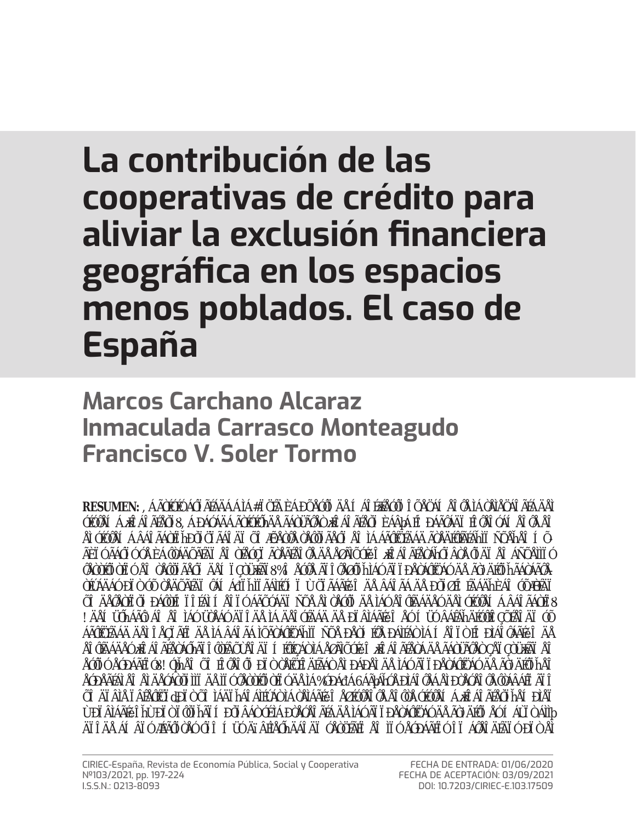# La contribución de las cooperativas de crédito para aliviar la exclusión financiera geográfica en los espacios menos poblados. El caso de España

## Marcos Carchano Alcaraz Inmaculada Carrasco Monteagudo Francisco V. Soler Tormo

**RESUMEN:** La crisis asociada a la Covid ha puesto de manifiesto nuevamente la relevancia del sistema financiero. La pasada crisis, de carácter financiero había impactado intensamente en el sistema bancario, provocando un fuerte retroceso en la actividad crediticia, lo que, en muchos casos se ha traducido en riesgo creciente de exclusión financiera, sobre todo en aquellos territorios en retroceso demográfico. En este contexto, las cooperativas de crédito, caracterizadas por su reducido tamaño, localismo y vocación de banca de proximidad, han sufrido un deterioro patrimonial menos acusado que el resto de las entidades del sistema bancario. Además, actúan en las áreas donde la densidad de población es más baja, distinguiendo su actividad del negocio de la banca lucrativa, lo que permite paliar la menor implantación de entidades financieras, contribuyendo mitigar la exclusión financiera de carácter geográfico en estos espacios. Así, en un intento por reivindicar el papel de las cooperativas de crédito, en especial en el desarrollo de los territorios de la España Vacía, se plantea el presente trabajo con un doble objetivo: por un lado, analizar la relación existente entre sistema financiero, empleo y población, y por otro, comprobar si la presencia de las cooperativas de crédito es mayor allí donde ambos factores son más débiles, dando servicio en los espacios no atendidos por el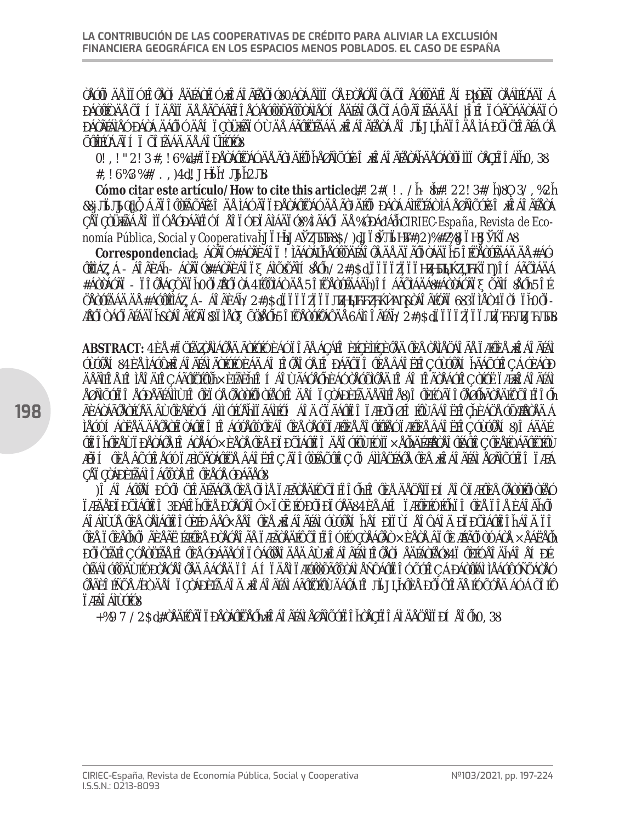resto de los intermediarios financieros. Para ello se presenta un estudio empírico realizado a partir de un modelo de ecuaciones estructurales mediante una técnica de mínimos cuadrados parciales para datos demográficos y de actividad financiera en 2018, donde la provincia se utiliza como unidad de análisis.

PALABRAS CLAVE: Cooperativas de crédito, exclusión financiera, desarrollo regional, PLS. CLAVES ECONLIT: A130, G21, R2.

**Cómo citar este artículo/How to cite this article**: CARCHANO, M., CARRASCO, I. & SOLER, F. (2021): "La contribución de las cooperativas de crédito para aliviar la exclusión financiera geográfica en los espacios menos poblados. El caso de España", *CIRIEC-España, Revista de Economía Pública, Social y Cooperativa*, 103, 197-224. DOI: 10.7203/CIRIEC-E.103.17509.

**Correspondencia**: Marcos Carchano Alcaraz, estudiante de doctorado, Universidad de Castilla-La Mancha, Marcos.Carchano@alu.uclm.es, ORCID: 0000-0003-3285-8450; Inmaculada Carrasco Monteagudo, Profesora Titular de Universidad, Inmaculada.Carrasco@uclm.es, Universidad de Castilla-La Mancha, ORCID: 0000-0002-3844-4569; Francisco V. Soler Tormo, Profesor asociado, Francisco.Soler@uv.es, Universitat de València, ORCID: 0000-0002-0442-1422.

**ABSTRACT:** The Covid-related crisis has once again highlighted the relevance of the financial system. The last financial crisis had an intense impact on the banking system, causing a sharp decline in lending activity, which, in many cases, has resulted in an increasing risk of financial exclusion especially in those territories in demographic decline. In this context, credit unions, characterized by their small size, localism and vocation of proximity banking, have suffered a less marked deterioration in assets than the rest of the entities of the banking system. In addition, they operate in areas where the population density is lower, differentiating their activity from the business of lucrative banking contributing to alleviate the financial exclusion of a geographical nature in these spaces.

In an attempt to vindicate the role of credit unions, in the development of the territories of depopulation Spain, the present work is proposed. The aim of this is, on the one hand, to analyze the relationship between the financial system, employment and population, and on the other, to check if the presence of credit unions is greater where both factors are weaker, providing service in the spaces not attended by financial intermediaries. To this end, an empirical study is presented based on a model of structural equations using a partial least squares technique for demographic and financial activity data in 2018, the province is used as a unit of analysis.

KEY WORD: Credit cooperatives, financial exclusion, regional development, PLS.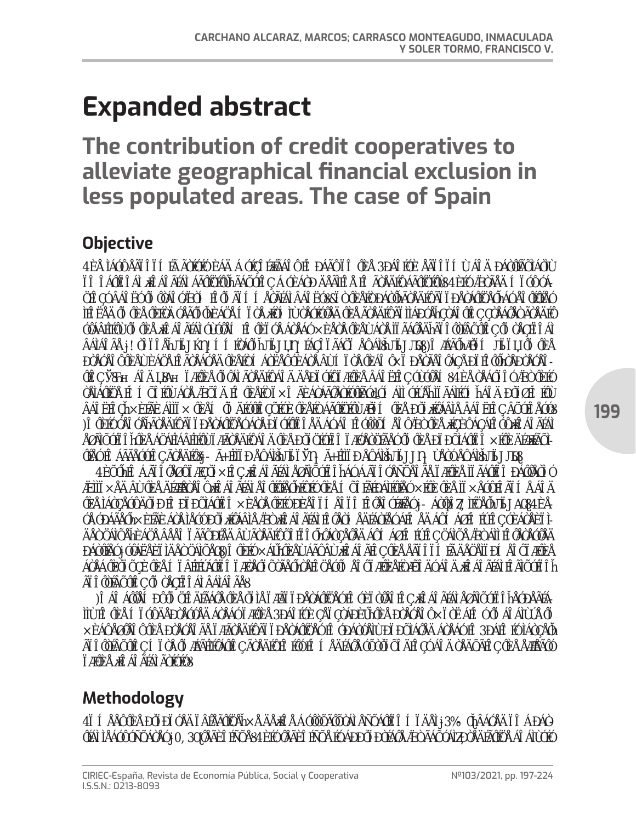# Expanded abstract

The contribution of credit cooperatives to alleviate geographical financial exclusion in less populated areas. The case of Spain

### **Objective**

The last economic crisis had a significant impact on the Spanish economy and particularly on national financial activity, causing a sharp decline in credit activity. This forced most savings banks to transform into commercial banks. For their part, credit cooperatives, as entities linked to the third sector, have more firmly resisted the credit collapse, granting greater credit stability to the financial system in those areas where they are located, contributing to regional balance (Arnone, 2015; Ammirato, 2018; Giagnocavo et al., 2012). In fact, from 2008 to the present they have increased their market share by more than two percentage points, representing 7.4% and 8.9% of the total credit and deposit of the banking system. The reasons for this relative immunity are found in their own characteristics: small size, localism, and proximity banking, which allow them to distinguish their activity from the profitable banking business. In this sense, credit cooperatives are positioned as an instrument for the fight against financial exclusion, the availability of credit and the provision of services to the population with difficulties in accessing credit. (McKillop et al., 2007; McKillop et al., 2011; Myers et al., 2012).

Thus, in a context of growing financial exclusion, as a consequence of the location patterns followed by the different financial entities, it is the municipalities with the lowest income and the largest drop in population where this phenomenon intensifies (Martín-Oliver, 2019). These spaces, which are less profitable for financial intermediaries aimed at maximizing shareholder value, have been occupied by credit unions, targeted at maximizing value for all interested parties (stakeholder value). In this way, they act by financing the economic development of the area through the mobilization of resources, reinvestment of their funds and financial inclusion, contributing to regional balance.

In an attempt to vindicate the role of cooperatives in shortening financial exclusion, especially in the most depressed areas of the Spanish geography, the present work aims to analyze to what extent the presence of credit cooperatives in sparsely populated areas in Spain is larger, contributing more to facilitating credit in its immediate surroundings and reducing the effects of the financial crisis.

### Methodology

To meet the proposed objective, we define a structural equation model (SEM), based on a partial least squares (PLS) technique. This technique is appropriate for causal-predictive analysis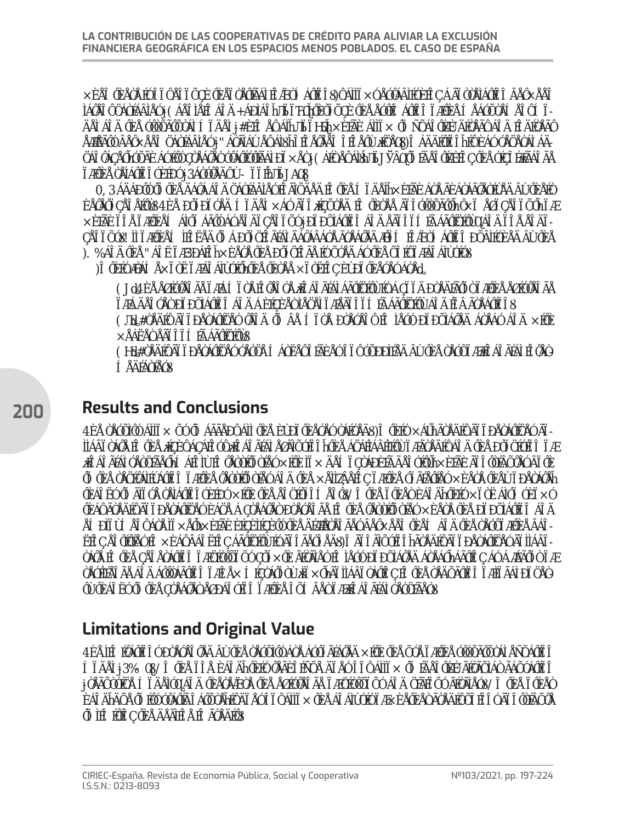when there is not enough theoretical information. It allows establishing a correlation between latent variables (Haenlein and Kaplan, 2004), through the estimation of the measurement model and the structural model (Chin et al, 2003), which allow to quantify direct and indirect effects between variables (Barclay et al. , nineteen ninety five). In addition, it has several advantages, such as its greater statistical power (Hair et al., 2017b) to identifying the significance of the relationships (Sarstedt y Mooi, 2019).

PLS adapts to the data and variables included in the model, which are characterized by their heterogeneity. The proposed model was configured in three constructs, two exogenous, of which one of them also acts as endogenous (population and economic activity) and one endogenous. All of them linked to a provincial database created from information published by the INE and the Bank of Spain, where the province is used as the unit of analysis.

In this framework of analysis, the three working hypotheses are:

H1: The existence of a more intense financial activity is a good predictor of the existence of a denser population and a higher level of economic activity and job creation.

H2: Credit cooperatives tend to be more present in less populated areas and with weaker economic activity.

H3: Credit cooperatives serve market niches not supplied by the rest of financial intermediaries.

#### Results and Conclusions

The results allow us to accept all the hypotheses raised. In this way, credit cooperatives collaborate in the fight against financial exclusion, the availability of credit and the provision of financial services, mainly in territories with low demographic density, which contributes both to the revitalization of the territories and the well-being of the societies where they operate, thanks to close relationships with the environment. On the other hand, this work also shows that credit cooperatives have a greater presence in the territories where the population and employment are lower, which highlights the differences between them and the rest of the banking entities in what banking activity is concerned. In conclusion, credit cooperatives collaborate in the generation of virtuous growth circles in less populated areas, acting as a factor of resilience and attraction of new migratory flows, collaborating in the reduction of local poverty thanks to the greater expansion of the number of financial services.

### Limitations and Original Value

The limitations presented by the results are associated with the use of the structural equation model (SEM). On the one hand, this technique does not allow to identify circular causation (recursive models) and therefore the existence of virtuous and vicious circles. On the other hand, due to its static nature, it does not allow the analysis of whether credit unions contribute to limiting the decline in credit.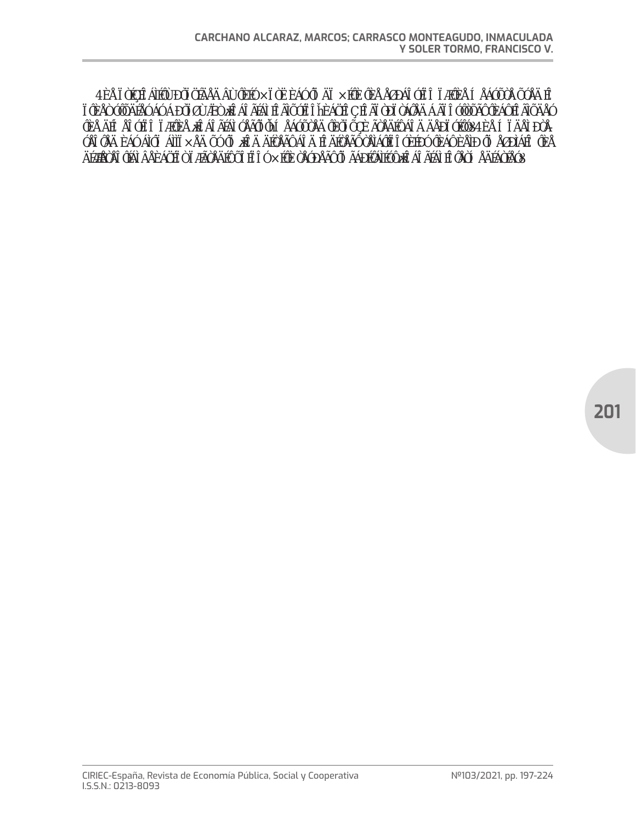The originality provided by this work has to do with the expansion of the measure used in other studies as a proxy for financial inclusion, having incorporated a construct that includes the dimension of the financial sector, measured through credit and deposits. The model presented has also allowed us to find direct and indirect relationships that help to explain the differential behavior of credit unions with respect to capitalist financial intermediaries.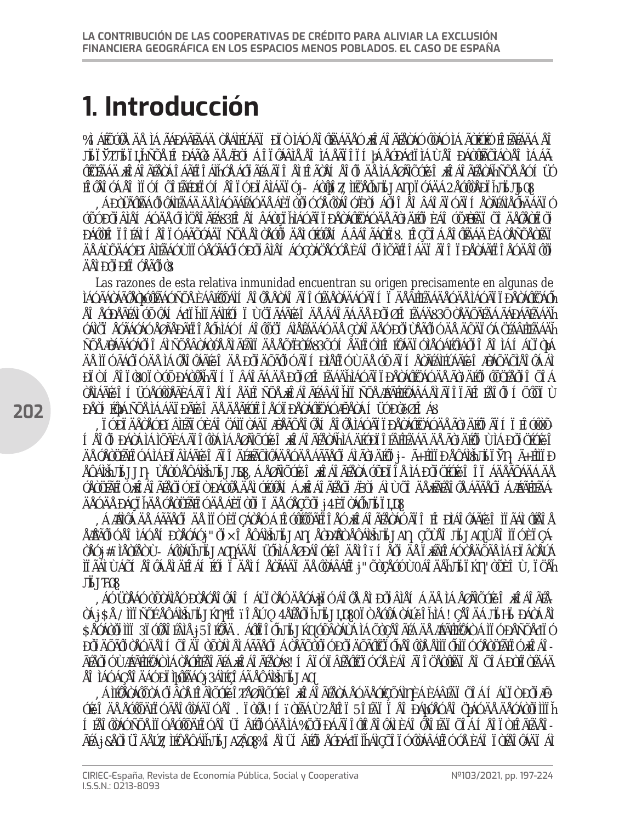## 1. Introducción

El ajuste de la capacidad realizado por las entidades financieras tras la crisis iniciada en 2007/2008, que impactó de forma notable en la economía española y en particular en la actividad financiera nacional, se asocia con el incremento de la exclusión financiera, que es más intensa en los municipios menos poblados (Martín-Oliver, 2019; Posada Restrepo, 2021).

La práctica totalidad de las cajas de ahorros se transformaron en bancos comerciales, dados sus problemas de solvencia. Sin embargo, las cooperativas de crédito han sufrido un deterioro patrimonial menos acusado que el resto del sistema bancario. Ninguna entidad ha requerido de ayudas públicas y los escasos problemas graves se han solucionado con operaciones dentro del propio sector.

Las razones de esta relativa inmunidad encuentran su origen precisamente en algunas de las características que habitualmente eran consideradas como debilidades de las cooperativas, en especial su tamaño, localismo y vocación de banca de proximidad. Su reducida capacidad, salvo escasas excepciones, las mantuvo alejadas de grandes proyectos de dudosa viabilidad, que fracasaron al quebrarse el ciclo de euforia. Sus medios limitados les aislaron en la mayoría de los casos de la tentación de productos complejos y de su comercialización fraudulenta al por menor. Por su parte, como banca de proximidad, las cooperativas de crédito tuvieron una relación más estrecha con el medio que financiaban, lo que facilitaba el conocimiento mutuo y permitía que la adopción de decisiones operativas fuera más próxima.

Los poderes públicos han valorado frecuentemente las cooperativas de crédito como instrumento para la lucha contra la exclusión financiera, la disponibilidad de crédito y la provisión de servicios a la población con dificultades de acceso al crédito (McKillop et al., 2007; McKillop et al., 2011; Myers et al., 2012). La exclusión financiera supone la provisión no adecuada de servicios financieros por parte del sistema financiero formal y un deficiente acceso a facilidades de pago, de servicios de ahorro o de seguro (Thorat, 2008).

La falta de acceso de los hogares a instituciones financieras con implantación local tiene efectos en las empresas (Brown et al., 2019; Herpfer et al., 2019; Nguyen 2019) y en los hogares (Célerier y Matray, 2019); además, la expansión del número de oficinas reduce la pobreza local y aumenta el dinamismo del mercado de trabajo (Burgess y Pande, 2005; Bruhn y Love, 2014).

Las áreas rurales presentan mayores desafíos ante el problema de la exclusión financiera (De Olloqui et al., 2015; Jiménez & Tejero, 2018). Por esta razón, la Agenda 2030 para el Desarrollo Sostenible (United Nations, 2015) subraya la urgencia de facilitar a los pequeños productores del mundo rural el acceso a recursos productivos, entre ellos, los servicios financieros y facilitar la resiliencia financiera. Ambos objetivos se han convertido en una prioridad en las agendas políticas (Salignac et al., 2019)

La literatura sobre inclusión/exclusión financiera es desigual; ha habido una mayor profusión de estudios centrados en Norte América y Reino Unido o en países en vías de desarrollo, mientras que los estudios en ámbitos de la Europa continental han tenido una menor incidencia (Fernández-Olit et al, 2019-b). En el ámbito español, algunos trabajos se han orientado al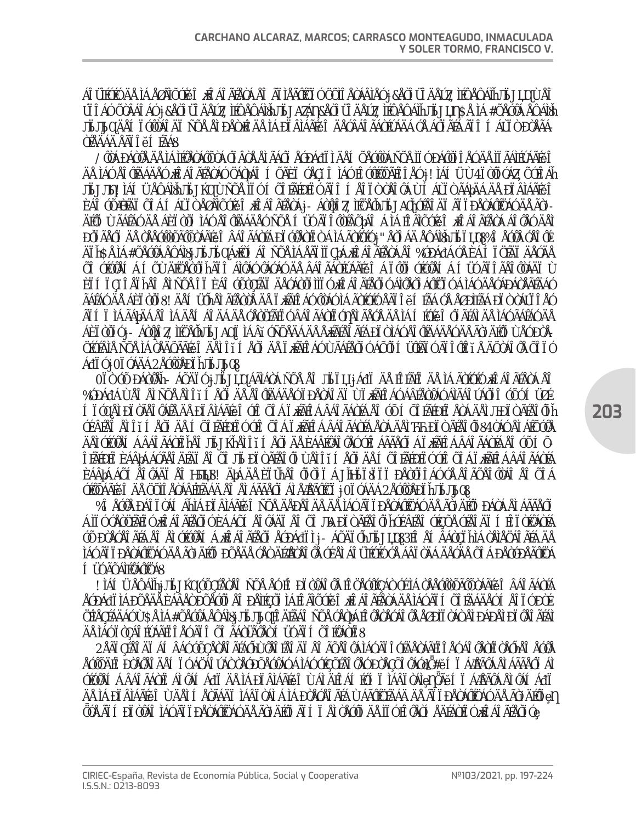análisis de la exclusión financiera en colectivos vulnerables (Fernández-Olit et al, 2018) y en zonas urbanas (Fernández-Olit et al., 2019-a; Fernández-Olit et al, 2018; De la Cuesta et al., 2021) demostrando que el perfil de la población desbancarizada se asocia con mayor precariedad económica.

Otra parte de la literatura sobre el caso español demuestra que los patrones de localización de las entidades financieras varían mucho según las instituciones (Alamá y Tortosa-Ausina, 2012; Alamá et al., 2015) y que los municipios con menor renta y mayor caída de población han sufrido una mayor exclusión financiera (Martín-Oliver, 2019), siendo cooperativas de crédito y cajas de ahorro las entidades que más contribuían a la inclusión financiera antes del proceso de reestructuración bancaria posterior a la crisis (Bernad et al., 2008). En este sentido, De la Cuesta et al. (2020) afirman que la ecología financiera en España se ha movido desde un sistema muy diverso, con altas tasas de bancarización a otro sistema más concentrado y homogéneo, en el que no han surgido desarrollos financieros alternativos a las desaparecidas cajas de ahorro. Además, el cierre de oficinas tras la crisis económica se explica por razones como la caída en la demanda de servicios bancarios; el cese de la misión social de las cajas de ahorros (Martín-Oliver, 2019) o la búsqueda de eficiencia por las entidades de crédito y es previsible que la reducción del número de oficinas y cajeros automáticos continúe durante unos años (Posada Restrepo, 2021).

Por su parte, Maudos (2018) aclara que en 2008 (año de inicio de la crisis financiera en España y en el que el número de entidades operando y oficinas abiertas alcanzaron sus máximos) el porcentaje de población sin una oficina bancaria en su municipio era del 2 por ciento, si bien el número de municipios sin una oficina bancaria era del 44 por ciento. Tras el ajuste del sistema bancario, en 2015, el número de habitantes sin acceso a oficina bancaria en su municipio había ascendido en un 20 por ciento y el número de municipios sin una oficina bancaria había aumentado en 328. A día de hoy, en torno a 1,300.000 personas se encuentran en una situación de vulnerabilidad en el acceso al efectivo (Posada Restrepo, 2021).

En este panorama, la población que depende de las cooperativas de crédito para el acceso a los servicios financieros ha aumentado en un 29 por ciento, si bien sigue siendo minoritaria su presencia en el sistema financiero español (Maudos, 2018). Sin embargo, la relevancia de las cooperativas de crédito puede ser diferente si el análisis se aborda desde una perspectiva más cualitativa.

Alamá et al, (2015) sugieren que es importante investigar si la reestructuración bancaria española puede haber puesto en peligro la inclusión financiera de las comunidades menos privilegiadas y De la Cuesta et al. (2021) indican que sería interesante explorar el papel potencial de las organizaciones con un carácter más comunitario.

Recogiendo ambas sugerencias, y teniendo en cuenta las consideraciones anteriores, en este estudio pretendemos avanzar respuestas a las siguientes preguntas: ¿Cómo afecta el acceso al sistema bancario al tamaño de la población y al dinamismo laboral?; ¿cómo afecta el tamaño de la población y del mercado laboral a la presencia y actividad de cooperativas de crédito?; ¿se comportan las cooperativas de crédito como el resto de los intermediarios financieros?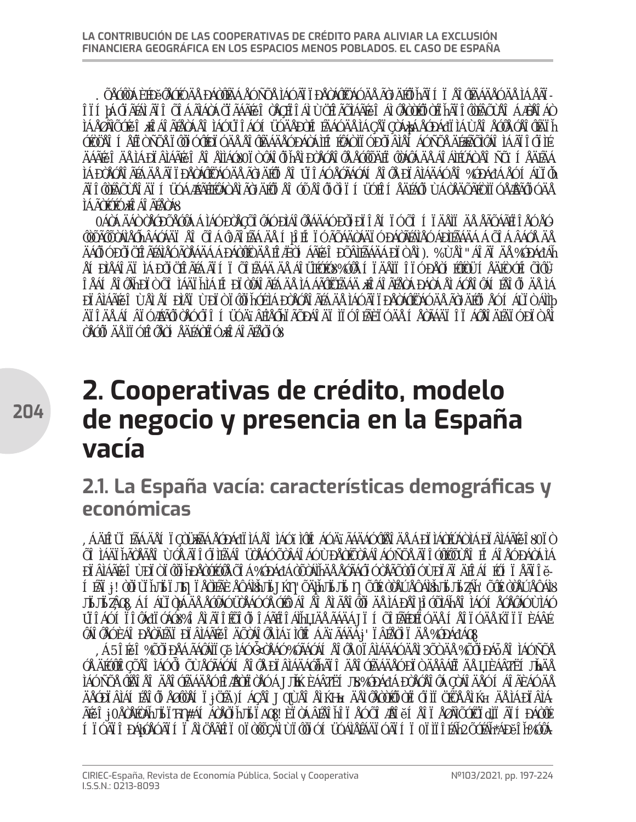Nuestra hipótesis de partida es que las cooperativas de crédito, como entidades de la economía social con una clara vocación regional y vinculación al territorio, contribuyen a frenar la exclusión financiera en las zonas más deprimidas de la geografía española y en este sentido, sirven mejor que otros tipos de entidades para limitar los problemas que dificultan la consolidación de la población en ellas. Por tanto, el presente estudio trata de analizar en qué medida la presencia de cooperativas de crédito en zonas escasamente pobladas en España es mayor, contribuyendo más a facilitar el crédito en su entorno más inmediato y a reducir los efectos de la crisis financiera.

Para dar respuesta a las preguntas planteadas proponemos un modelo de ecuaciones estructurales, basado en una técnica de mínimos cuadrados parciales aplicada a una base de datos provinciales creada a partir de información publicada por el INE y el Banco de España, empleando la provincia como unidad de análisis. Este modelo nos permitirá medir simultáneamente, por un lado, la importancia de la actividad financiera para el asentamiento de la población y el empleo y por otro, si la presencia de las cooperativas de crédito es mayor allí donde ambos factores son más débiles, ocupando los nichos de mercado no atendidos por el resto de los intermediarios financieros.

## 2. Cooperativas de crédito, modelo de negocio y presencia en la España vacía

### 2.1. La España vacía: características demográficas y económicas

La dinámica demográfica española en las últimas décadas tiende a polarizar la población. Por un lado, crecen y se consolidan áreas urbanas y periurbanas que constituyen imanes para la población y por otro, persiste una España rural, de escasos recursos y poco dinamismo económico (Arroyo, 2002; Goerlich et al., 2015; Budí, 2020 ; Gutiérrez et al., 2020-a, Gutiérrez et al. 2020-b). La mayoría de estas áreas se sitúan en el centro de la península, en las mesetas y las zonas montañosas. En el conjunto nacional, 8 de cada 10 municipios de menos de 5000 habitantes han perdido población durante la última década (Gobierno de España).

La Unión Europea catalogó las "Áreas Escasamente Pobladas del Sur de Europa" en las que se distinguen las "muy escasamente pobladas", con densidades por debajo de 8 hab/km2, de las que tienen densidades inferiores a 12,5 hab/km2. España presenta grandes manchas de despoblamiento extremo (vid Imagen 1 ) y en el 53% del territorio solo vive el 5% de la población (Pereira, 2004; Camarero, 2009). Ahora bien, no es un fenómeno exclusivo: lo compartimos con países como el vecino Portugal y otros más alejados como Polonia, Rusia, Japón, Esta-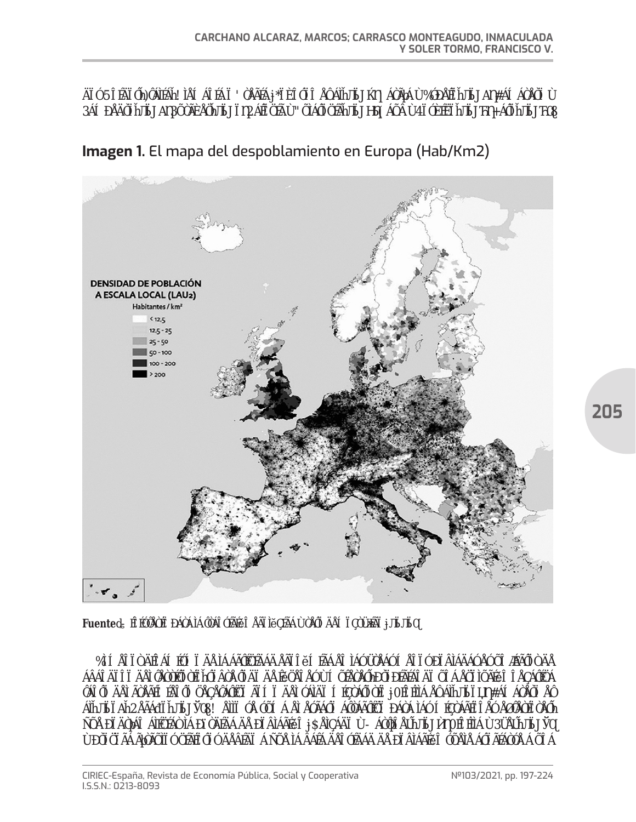dos Unidos, Italia, Alemania o Grecia (Johnson et al, 2015; García y Espejo, 2019; Camarero y Sampedro, 2019; Surchev, 2010; Rajovic y Bulatovic, 2013; Haub y Toshiko, 2014; Kato, 2014).



Imagen 1. El mapa del despoblamiento en Europa (Hab/Km2)

**Fuente**: Ministerio para la transición ecológica y reto demográfico (2020)

El menor dinamismo de la actividad económica en las áreas menos pobladas es un factor de abandono del territorio, sobre todo de jóvenes y mujeres, propiciando una evolución negativa tanto del crecimiento vegetativo como del saldo migratorio (Pinilla et al, 2008; Camarero et al, 2009, Recaño, 2017). A ello se suma el escaso atractivo para las migraciones exteriores, que podrían aliviar la pérdida de población (Delgado y Martínez, 2016; Pinilla y Sáez, 2017) y provoca círculos viciosos debido a que la baja densidad de población suele asociarse a una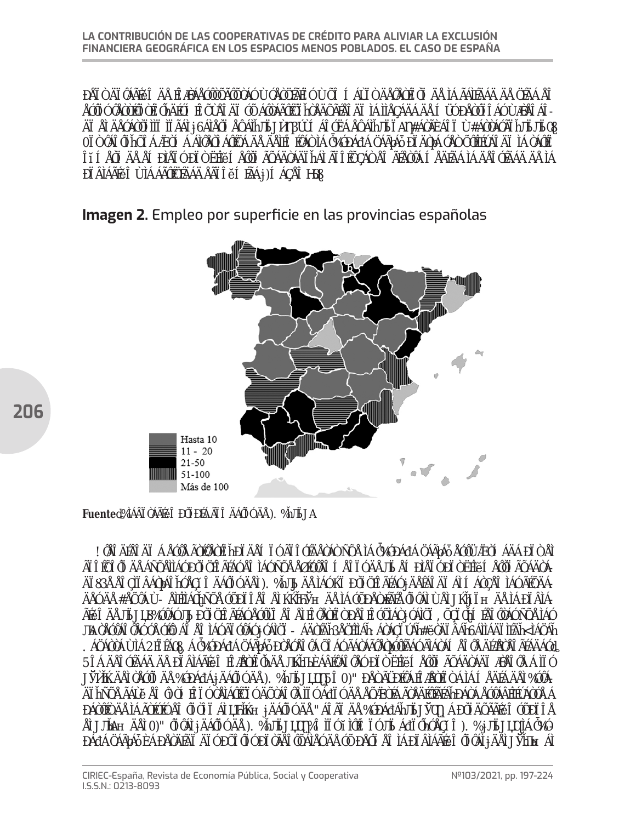peor dotación de infraestructuras y servicios y un mayor deterioro de la calidad de vida en estos territorios, disminuyendo su atractivo, reduciendo la llegada de más personas y frenando el desarrollo local (Valero et al, 2016; Szymanska et al, 2009; Carchano y Carrasco, 2020). Por tanto, una forma alternativa de delimitar la "España vacía" podría ser utilizando la ratio número de empleos por kilómetro cuadrado, al conjugar en cierta medida la densidad de la población y la actividad económica (Imagen 3).



#### Imagen 2. Empleo por superficie en las provincias españolas

**Fuente**: Elaboración propia con datos de INE, 2019

Atendiendo a este criterio, podemos considerar que la "España vacía" está formada por el conjunto de aquellas provincias en las que existen menos de 20 empleos por kilómetro cuadrado. Se englobarían, según datos del INE, 21 de las 50 provincias (dejando al margen las ciudades de Ceuta y Melilla), que suponen el 55,47% de la superficie total y el 15,10% de la población de 2018. Estas 21 provincias están en el interior peninsular (salvo Lugo), mientras que las 29 restantes se sitúan en las costas (salvo Madrid, Sevilla, Zaragoza, Córdoba, Valladolid, Álava, Navarra y la Rioja). La "España vacía" presenta unas características claramente diferenciadas: Una densidad de población inferior, de 25,2 habitantes por kilómetro cuadrado frente a los 176,5 del resto de España (datos de INE, 2018); Un PIB per cápita inferior a la media del Estado, que cayó en términos relativos durante los años de euforia crediticia, para estabilizarse a partir de la crisis en torno al 84,5% (datos de Banco de España, 2017); La producción supone el 12,9% del PIB total (datos de INE, 2018); En los últimos 20 años, según INE (2018) la "España vacía" ha perdido dos puntos porcentuales de su peso en la población total (del 17,2% al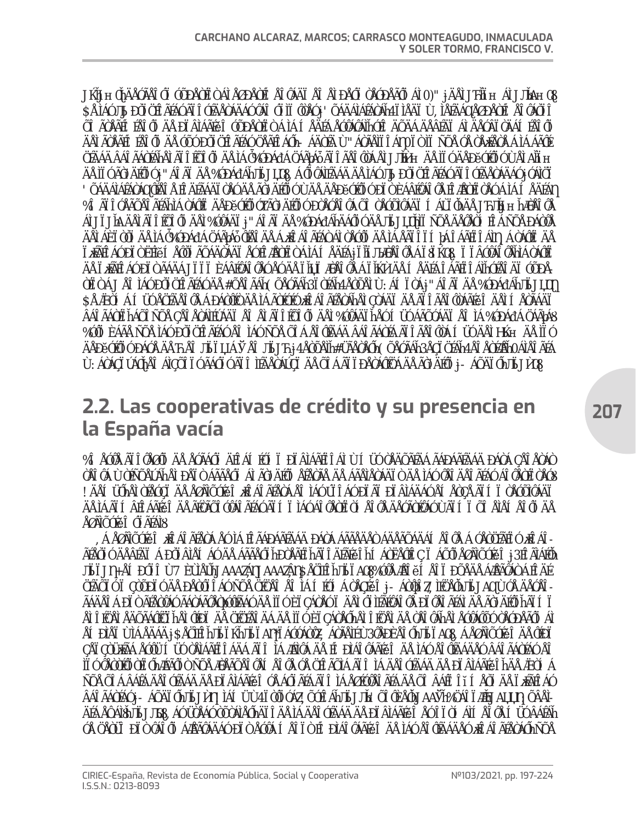15,1%), descenso superior al experimentado en el peso respecto al PIB (del 14,0% al 12,9%). De las 21 provincias consideradas tan solo tres (Guadalajara, Toledo y Lleida) experimentaron un crecimiento de población superior a la media estatal, sin duda debido al desbordamiento del crecimiento de sus provincias vecinas, Madrid y Barcelona; Por lo que se refiere a la actividad bancaria, el conjunto de la "España vacía" concentra el 12,6% de los depósitos y el 9,0% de los créditos (Banco de España, 2018). La totalidad de las 21 provincias consideradas (salvo Guadalajara) tiene indicadores de créditos y de depósitos por habitante inferiores a la media; En consecuencia, la ratio depósitos/créditos presenta un resultado mayor, de 142,1%, frente al 101,9 del conjunto del Estado (Banco de España, datos de 2018), lo que determina que parte del ahorro de la "España vacía" tiende a financiar al resto de la economía nacional; La ratio de oficinas por kilómetro cuadrado es inferior a la media (0,02 frente a 0.05). No obstante, la ratio de oficinas por cada 1000 habitantes es de 0,80 frente a 0,56 de media nacional, siendo superior a 1 en las provincias de Cuenca, Huesca, Soria, Teruel y Zamora (Banco de España, 2018); De forma más evidente a partir de la crisis financiera, el grado de concentración del mercado bancario, aunque generalizado en el conjunto del Estado, es más acusado en la España vacía. Esto hace que las provincias en las que una entidad bancaria concentra más del 35% de los depósitos pase de 4 en 2008 a 7 en 2014 (Teruel, Cáceres, Huesca, Segovia, Tenerife, Palencia y Zaragoza), en algunos casos con liderazgo de una cooperativa de crédito (Maudos, 2016).

### 2.2. Las cooperativas de crédito y su presencia en la España vacía

En este contexto de escaso dinamismo poblacional y más reducida capacidad para generar renta y riqueza, el peor acceso al crédito ejerce de acelerador de las tendencias anteriores. Además, el riesgo de exclusión financiera en las zonas poco pobladas emerge como resultado de la combinación de circunstancias como las anteriormente descritas y como un elemento de exclusión social.

La exclusión financiera es la incapacidad para acceder adecuadamente a servicios financieros debido a problemas de acceso, precio, condición, marketing o autoexclusión (Sinclair, 2001; Kempson y Whyley, 1999-a; 1999-b; Devlin, 2009). Este fenómeno puede afectar a individuos o grupos de personas que viven en la misma región (Martín-Oliver, 2019) y se desencadena por ciertas características de los hogares o del solicitante potencial de crédito, como el nivel educativo, el tipo de vivienda de los hogares, el nivel de renta, el estatus respecto al empleo y la edad (Devlin, 2005, 2009; Joassart-Marceli y Stephens, 2009). La exclusión de tipo geográfica está más relacionada con la falta de implantación de las entidades bancarias en los territorios, factor que frecuentemente se vincula con la densidad de población, de forma que una baja densidad de población se asocia con la existencia de un bajo número de oficinas bancarias (Maudos, 2016; Alamá y Tortosa-Ausina, 2012, Gunther, 1997, Evanoff, 1988; Zubeldia et al., 2012). Las áreas rurales, donde la densidad de población es normalmente más baja, se verán por tanto afectadas por esta menor implantación de las entidades financieras, que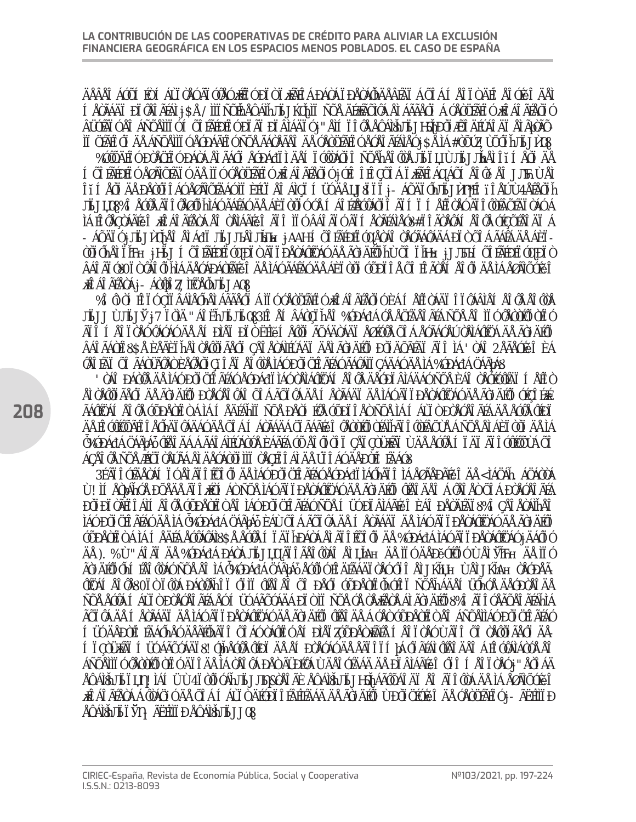deben asumir mayores costes fijos por oficina para operar, debido a una menor dimensión del mercado potencial (De Olloqui, et al, 2015), lo que dificulta el acceso a servicios financieros básicos en aquellos municipios poco poblados (Belmonte et al., 2013), profundizando el círculo vicioso de aquellos espacios que carecen de servicios esenciales (De la Cruz-Ayuso, 2016).

Estudios previos para el caso español demostraron que, entre 2008 y 2012, el número de municipios excluidos de los servicios financieros (sin ninguna oficina) aumentó en 124 y el número de personas excluidas lo hizo en algo más de 81.000 (Maudos, 2016; Jiménez y Tejero, 2018). En este contexto, las cajas de ahorros se manifestaron como mejores contribuidoras a la integración financiera en relación con los bancos comerciales. Concretamente siguiendo a Maudos (2016), en el año 2012 el 2,2% (993 municipios) eran rescatada por una caja de ahorros, el 0,4% (301 municipios) por cooperativas de crédito, y un 0,3% (122 municipios) por bancos. Por tanto, la desaparición de las cajas de ahorro supone un incremento de la exclusión financiera (Martín-Oliver, 2019).

En términos globales, el acceso a los servicios financieros ha mejorado notablemente entre 2011 y 2017 (World Bank, 2020). Sin embargo, en España se evidencia que en los territorios con menores tasas de empleo por kilómetro cuadrado existe una escasez relativa de crédito bancario. De hecho, el retroceso generalizado del crédito producido con la Gran Recesión ha tenido un carácter heterogéneo entre las provincias catalogadas de la España vacía.

Gran parte de las provincias españolas relativamente despobladas que han resistido mejor el retroceso de crédito presentan una cuota de mercado de las cooperativas de crédito significativamente superior a la media, lo que permite suponer que la mayor presencia de este tipo de instituciones, dotadas de una marcada vocación territorial, contribuye a que el ahorro de la "España vacía" tienda a canalizarse hacia su entorno geográfico y de este modo constituya un agente que favorezca el desarrollo regional de zonas deprimidas.

Si consideramos el conjunto de las provincias españolas, con la excepción de Álava, Navarra y Almería, se puede confirmar que las cooperativas de crédito tienden a tener una presencia proporcionalmente superior en las provincias que más población han perdido. En general, en las provincias de la "España vacía" hay una cuota de mercado de las cooperativas de crédito superior a la media estatal. De este modo, para el conjunto de España las cooperativas (datos de INE y Banco de España para 2018) concentran el 8,9% de los depósitos y el 7,4% de los créditos, mientras que en la "España vacía" estos indicadores son el 15,8% y el 15,9% respectivamente. Por otra parte, no solo tienen un peso superior, sino que, además, se desprende que esta mayor presencia es más acusada por lo que se refiere al crédito. En consecuencia, la cuota de mercado de las cooperativas de crédito tiende a ser superior en aquellas provincias más deprimidas, es decir, con unas ratios empleo-superficie menores y con un retroceso demográfico más acusado. Así, este tipo de empresas de economía social tienden a instalarse en aquellos territorios donde la renta per cápita y densidad de población son menores (Bernad et al., 2008; Alamá y Tortosa, 2012; French et al., 2013), actuando en contra de la exclusión financiera a través de una mayor disponibilidad de crédito y provisión de servicios (Mckillop et al., 2007; Mckillop et al., 2011).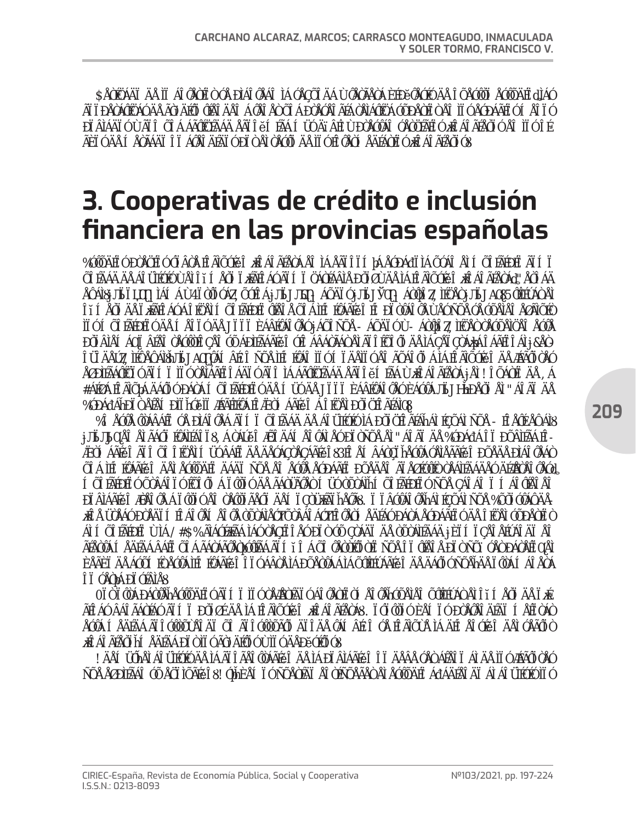Derivado de lo anterior se plantean la segunda y tercera hipótesis de nuestro estudio: las cooperativas de crédito tienden a tener una presencia relativa superior en los espacios menos poblados y con una actividad económica más débil y prestan servicios financieros en los nichos de mercado no atendidos por el resto de los intermediarios financieros.

## 3. Cooperativas de crédito e inclusión financiera en las provincias españolas

Estudios previos sobre inclusión financiera en la economía española usan el municipio como unidad de análisis y el número oficinas como variable proxy de la inclusión financiera: Bernad et al. (2008); Alama y Tortosa-Ausina (2012); Maudos (2017); Martín-Oliver (2019). Utilizar el número de oficinas a nivel municipio tiene una limitación importante y es que se suelen excluir los municipios de menos de 1000 habitantes (aunque Maudos y Martín-Oliver resuelven este problema) o bien restringen su aplicación sin abarcar el conjunto de la geografía nacional (Fernández-Olit et al., 2019); también que limitan los modelos en cuanto a la inclusión de factores explicativos como los relacionados con la actividad económica y financiera (el Anuario de La Caixa incluía datos para municipios de más de 1000 habitantes hasta 2013, pero el Banco de España, por ejemplo, sólo facilita información a nivel provincial).

En este trabajo se plantea como unidad de análisis la provincia, al igual que Mineti et al. (2021) en el caso italiano. La razón fundamental es porque el Banco de España no publica información con un nivel más bajo de desagregación. Sin embargo, esta selección puede plantear una limitación del estudio dado que en este espacio pueden coexistir realidades diferentes: municipios urbanos junto a otros de carácter más rural, municipios que ganan o mantienen población frente a otros en retroceso demográfico, etc. No obstante, al igual que Eurostat define áreas predominantemente rurales/urbanas/intermedias para espacios de nivel superior al municipio y la OCDE clasifica las regiones por su grado de ruralidad (homogeneizando en cierta medida bajo una característica común a un territorio que no tiene por qué ser parejo) el hecho de asumir esta limitación nos abre la puerta a la utilización de datos que, de otra manera no sería posible.

Por otra parte, estudios como los referidos anteriormente, suelen utilizar el número de oficinas bancarias como proxi de la inclusión financiera. Nosotros hemos pretendido mejorar esta medida construyendo un constructo donde también se incluye la dimensión del sector financiero, medida por los créditos y los depósitos.

Además, el análisis de la concentración de la población no debe ser ajeno al de los factores que explican su evolución. Así, hemos querido enriquecer el estudio añadiendo al análisis los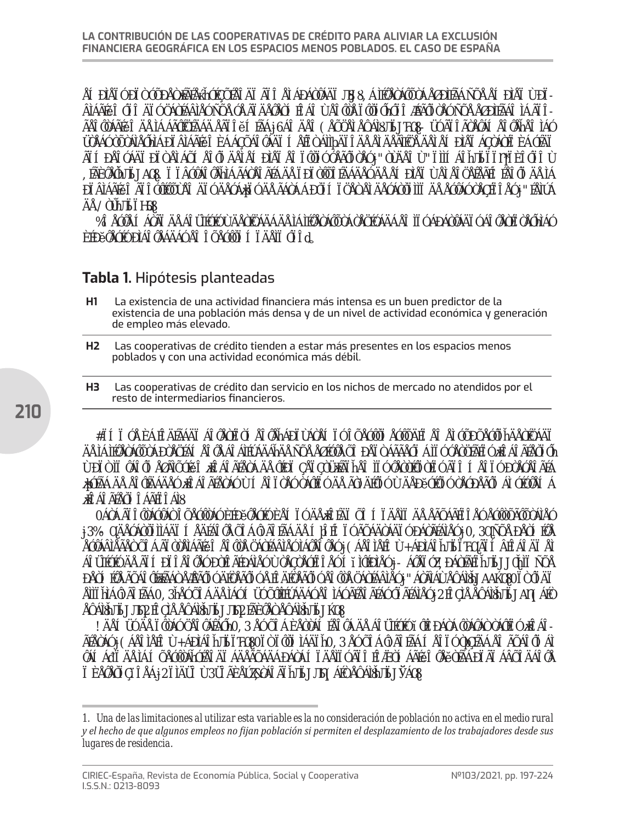empleos por superficie1, siguiendo con el apartado 2.1. La literatura explica que empleo y población son dos variables que se codeterminan y entre otros, son factores que explican la concentración de la actividad económica (Van den Heuvel et al. 2014). Más concretamente, en las áreas rurales, la población ha aguantado mejor allí donde el declive del empleo agrario ha sido compensado por el aumento del empleo en otros sectores (Bryden y Bollman, 2000; Johnson y Lichter, 2019). No obstante, la carencia de oportunidades de empleo y el envejecimiento de la población constituyen dos desafíos de cara a promover el desarrollo de estas regiones (Bielza de Ory, 2003).

En este marco de análisis y derivada de la literatura revisada en los apartados anteriores, las hipótesis planteadas en nuestro modelo son:

#### Tabla 1. Hipótesis planteadas

- H1 La existencia de una actividad financiera más intensa es un buen predictor de la existencia de una población más densa y de un nivel de actividad económica y generación de empleo más elevado.
- H2 Las cooperativas de crédito tienden a estar más presentes en los espacios menos poblados y con una actividad económica más débil.
- H3 Las cooperativas de crédito dan servicio en los nichos de mercado no atendidos por el resto de intermediarios financieros.

Como se ha indicado anteriormente, apoyaremos nuestro estudio en el supuesto, derivado de la literatura previamente analizada, de que existe un peor acceso a los servicios financieros, y por lo tanto exclusión financiera de tipo geográfico, en los territorios con menos presencia física de entidades financieras y menores ratios de créditos y depósitos respecto al sistema financiero nacional.

Para contrastar nuestras hipótesis hemos definido un modelo de ecuaciones estructurales (SEM) desarrollado mediante una técnica de mínimos cuadrados parciales (PLS) que permite establecer una correlación entre variables latentes (Haenlein y Kaplan, 2004) combinando el análisis de componentes principales y regresiones múltiples (Mateos-Aparicio, 2011), lo que permite cuantificar efectos directos e indirectos entre variables (Barclay et al., 1995). Por todo ello, la técnica PLS, es una de las más utilizadas en las ciencias sociales (Ringle et al., 2019; Hair et al., 2012; Ringle et al., 2012; Richter et al., 2015).

Además de otras ventajas, PLS es una herramienta de análisis útil para tratar ratios financieras (Haenlein y Kaplan, 2004). Por otro lado, PLS es una técnica menos rígida en cuanto al tamaño de la muestra, siendo adecuada para modelos con información teórica poco abundante o heterogénea (Roldán y Sánchez-Franco, 2012; Hair et al., 2017a).

*<sup>1.</sup> Una de las limitaciones al utilizar esta variable es la no consideración de población no activa en el medio rural y el hecho de que algunos empleos no fijan población si permiten el desplazamiento de los trabajadores desde sus lugares de residencia.*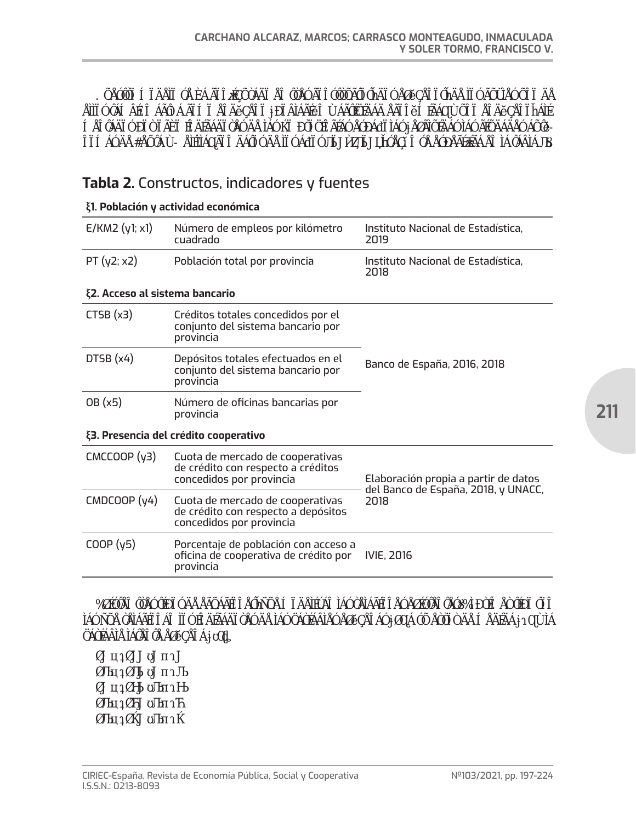Nuestro modelo se ha configurado en tres constructos, dos exógenos, de los cuáles uno de ellos también actúa como endógeno (población y actividad económica) y uno endógeno, alimentados por ocho indicadores de las 50 provincias españolas (excluidas las ciudades autónomas de Ceuta y Melilla) con datos de los años 2016-2018, según se especifica en la tabla 2.

#### Tabla 2. Constructos, indicadores y fuentes

| ξ1. Población y actividad económica   |                                                                                                     |                                                                                     |  |  |  |  |
|---------------------------------------|-----------------------------------------------------------------------------------------------------|-------------------------------------------------------------------------------------|--|--|--|--|
| $E/KM2$ (y1; x1)                      | Número de empleos por kilómetro<br>cuadrado                                                         | Instituto Nacional de Estadística.<br>2019                                          |  |  |  |  |
| PT (y2; x2)                           | Población total por provincia                                                                       | Instituto Nacional de Estadística.<br>2018                                          |  |  |  |  |
| ξ2. Acceso al sistema bancario        |                                                                                                     |                                                                                     |  |  |  |  |
| CTSB (x3)                             | Créditos totales concedidos por el<br>conjunto del sistema bancario por<br>provincia                |                                                                                     |  |  |  |  |
| DTSB $(x4)$                           | Depósitos totales efectuados en el<br>conjunto del sistema bancario por<br>provincia                | Banco de España, 2016, 2018                                                         |  |  |  |  |
| OB (x5)                               | Número de oficinas bancarias por<br>provincia                                                       |                                                                                     |  |  |  |  |
| ξ3. Presencia del crédito cooperativo |                                                                                                     |                                                                                     |  |  |  |  |
| CMCCOOP (y3)                          | Cuota de mercado de cooperativas<br>de crédito con respecto a créditos<br>concedidos por provincia  | Elaboración propia a partir de datos<br>del Banco de España, 2018, y UNACC,<br>2018 |  |  |  |  |
| CMDCOOP (y4)                          | Cuota de mercado de cooperativas<br>de crédito con respecto a depósitos<br>concedidos por provincia |                                                                                     |  |  |  |  |
| COOP (y5)                             | Porcentaje de población con acceso a<br>oficina de cooperativa de crédito por<br>provincia          | <b>IVIE. 2016</b>                                                                   |  |  |  |  |
|                                       |                                                                                                     |                                                                                     |  |  |  |  |

Existen tres tipos de ecuaciones, que modelizan las relaciones existentes. El primer tipo son las que relacionan los indicadores de las variables exógenas (x) a su error de medida () y la variable latente exógena ():

 $x1 = x11$  1 + 1  $x2 = x21 + 2$  $x1 = x31$   $2 + 3$  $x2 = x41$   $2 + 4$  $x2 = x51$   $2 + 5$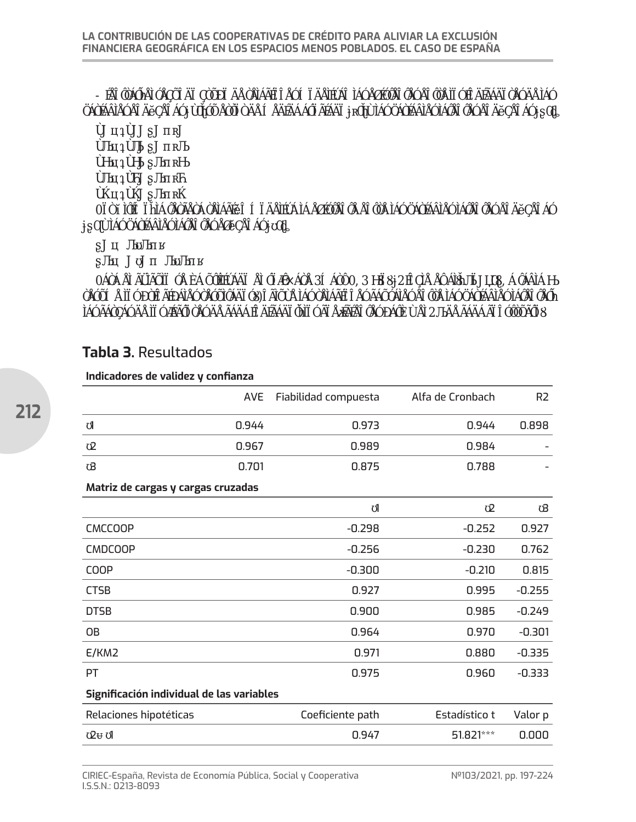Mientras, el segundo grupo de relaciones modelizan las existentes entre los indicadores de las variables endógenas (y), su error de medida asociado (), y las variables latentes endógenas ():

 $y1 = y11 + 1$  $y2 = y21 + 2$  $y3 = y31$   $2 + 3$  $y2 = y41$   $2 + 4$  $v5 = v51$  2+ 5

Por último, la tercera relación modeliza la existente entre las variables latentes endógenas () y las variables latentes exógenas ():

 $1 = 2 \cdot 2 +$  $2 = 1$  1 + 2 2 +

Para el cálculo se ha utilizado el software Smart PLS 3.0. (Ringle et al., 2018). La tabla 3 resume los principales resultados. Incluye las relaciones causales entre las variables latentes, las cargas de los factores de cada indicador, los coeficientes path y el R2 de cada constructo.

#### Tabla 3. Resultados

#### Indicadores de validez y confianza

|                                           | AVE   | Fiabilidad compuesta | Alfa de Cronbach | R <sub>2</sub> |  |
|-------------------------------------------|-------|----------------------|------------------|----------------|--|
| 1                                         | 0.944 | 0.973                | 0.944            | 0.898          |  |
| 2                                         | 0.967 | 0.989                | 0.984            |                |  |
| $\overline{3}$                            | 0.701 | 0.875                | 0.788            |                |  |
| Matriz de cargas y cargas cruzadas        |       |                      |                  |                |  |
|                                           |       | 1                    | $\overline{2}$   | 3              |  |
| <b>CMCCOOP</b>                            |       | $-0.298$             | $-0.252$         | 0.927          |  |
| <b>CMDCOOP</b>                            |       | $-0.256$             | $-0.230$         | 0.762          |  |
| COOP                                      |       | $-0.300$             | $-0.210$         | 0.815          |  |
| <b>CTSB</b>                               |       | 0.927                | 0.995            | $-0.255$       |  |
| <b>DTSB</b>                               |       | 0.900                | 0.985            | $-0.249$       |  |
| <b>OB</b>                                 |       | 0.964                | 0.970            | $-0.301$       |  |
| E/KM2                                     |       | 0.971                | 0.880            | $-0.335$       |  |
| PT                                        |       | 0.975                | 0.960            | $-0.333$       |  |
| Significación individual de las variables |       |                      |                  |                |  |
| Relaciones hipotéticas                    |       | Coeficiente path     | Estadístico t    | Valor p        |  |
| 2<br>$\overline{1}$                       |       | 0.947                | 51.821***        | 0.000          |  |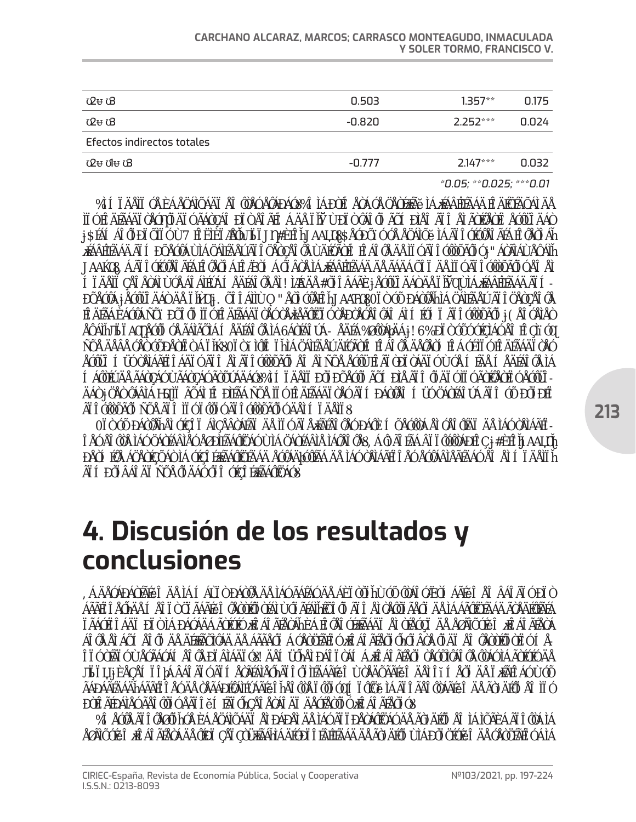|                            | י -   | 0.503  | $1.357**$            | 0.175 |  |
|----------------------------|-------|--------|----------------------|-------|--|
| -23                        |       | -0.820 | 2.252 <sup>***</sup> | 0.024 |  |
| Efectos indirectos totales |       |        |                      |       |  |
|                            | 2 1 3 | -0.777 | $7.147***$           | 0.032 |  |
|                            |       |        |                      |       |  |

*\*0.05; \*\*0.025; \*\*\*0.01*

El modelo se ha evaluado en tres etapas. En la primera se verificó la fiabilidad individual de los indicadores; todos cargan por encima de 0,7 y por tanto cumplen con el criterio estándar (Diamantopoulos y Winklhofer, 2001; Chin, 1998). Después se evaluó la consistencia interna, fiabilidad compuesta y la validez convergente y discriminante de los constructos (Barclay et al, 1995). La consistencia interna informa sobre la fiabilidad de cada uno de los constructos en el modelo general y se analiza mediante el Alfa de Cronbach (estándar de 0,7) y la fiabilidad compuesta (estándar de 0,6) (Nunnally & Bernstein, 1994). Por su parte, la validez convergente indica hasta qué punto los indicadores reflectivos representan al mismo constructo (Henseler et al, 2009); esto se calcula mediante la Varianza Media Extraída (AVE por sus siglas en inglés) que debe ser superior a 0,5. Por último, la validez discriminante determina si los indicadores están más relacionados con el constructo en el que está incorporados y se mide mediante la matriz de cargas y cargas cruzadas. El modelo propuesto cumple con todos los criterios estándar (ver tabla 3) lo cual implica que los indicadores comparten más varianza con su propio constructo que con los otros constructos del modelo.

Por su parte, el signo algebraico de los coeficientes path muestra el sentido de las relaciones entre las variables explicativas y la variable latente. La técnica bootstraping (Chin,1998), permite averiguar la significatividad estadística de las relaciones establecidas en el modelo, comprobando que todas son significativas.

## 4. Discusión de los resultados y conclusiones

La desaparición de la mayor parte de las cajas de ahorro, y su transformación en bancos por acciones, de menor vocación territorial y social, junto con el retroceso de la actividad crediticia ocasionado por la pasada crisis financiera, ha intensificado el riesgo de exclusión financiera ante el aumento de dificultad de acceso a servicios financieros, sobre todo en territorios menos ricos y escasamente poblados. Además, el panorama financiero resultante tras la crisis de 2008 (hegemonía bancos comerciales, consolidación y reducción del número de oficinas y su capacidad, acciones de recapitalización, entre otros) motivó la concentración de crédito en los principales centros económicos, generando desiertos financieros.

En este contexto, se ha evaluado el papel de las cooperativas de crédito en la lucha contra la exclusión financiera de tipo geográfica, la disponibilidad de crédito y la provisión de servicios a la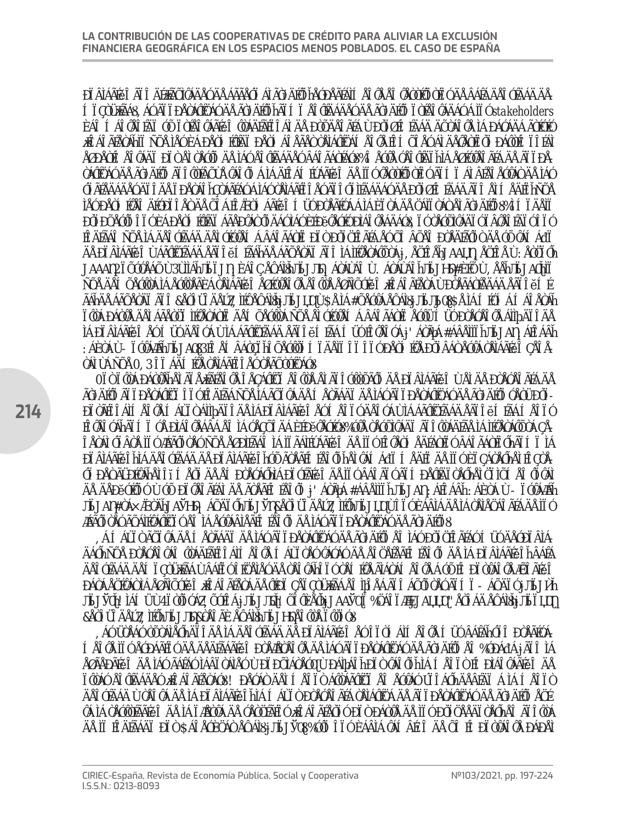población con dificultades de acceso al crédito, especialmente en territorios de baja densidad demográfica. Las cooperativas de crédito, como entidades de crédito orientadas a los *stakeholders* han mantenido su orientación tradicional de prudencia y proximidad durante la pasada crisis financiera, lo que les ha permitido permanecer relativamente inmunes al deterioro patrimonial experimentado por el resto de las entidades bancarias. En este sentido, la existencia de cooperativas de crédito contribuye tanto a la dinamización de los territorios como al bienestar de las sociedades donde operan, gracias a las relaciones consolidadas de proximidad con el medio, que les permiten disponer de una información más precisa a la hora de valorar el crédito. El modelo propuesto nos ha permitido aceptar todas las hipótesis planteadas. Los resultados obtenidos nos indican que la densidad del sistema bancario por provincia es un buen predictor de su tamaño de población y actividad económica, de acuerdo con la literatura (Levine, 1998; Levine y Zervos, 1999; Rousseau y Sylla, 2001; Zhang et al., 2012; Narayan y Narayan, 2013; Chiu y Lee, 2019), lo que demuestra la estrecha relación existente entre exclusión financiera y precariedad económica, de acuerdo con Fernández-Olit et al., (2018) y De la Cuesta et al. (2021). De la misma manera, otra parte del acervo literario demuestra que el sistema bancario está más presente allí donde la población es más densa y la actividad económica más intensa (García Cabello, 2019; Zainab, Zahra y Mostafa, 2019). Sin embargo, nuestro modelo no nos permite probar esta relación general ya que PLS no admite relaciones recursivas.

Por otra parte, el coeficiente negativo entre el constructo de población y el de presencia de crédito cooperativo nos indica que la cuota de mercado de las cooperativas de crédito será proporcionalmente mayor allí donde la población es menos densa y la actividad económica menos intensa, como se planteaba en la segunda hipótesis. Este resultado contradice la literatura general sobre los factores que explican la localización de los intermediarios bancarios, como la población, la densidad de población, su crecimiento, el tamaño medio de los hogares, el ingreso per cápita, el número de empresas, la posición de los bancos competidores, el volumen total de depósitos y su potencial de crecimiento (García Cabello, 2019; Zainab, Zahra y Mostafa, 2019; Crawford, 1973; Maudos, 2017; Fernández-Olit, 2018) y nos habla de la relevancia de los factores cualitativos en la establecimiento de las cooperativas de crédito.

La mayor cuota de mercado de las cooperativas de crédito en las provincias más despobladas, que presentan tradicionalmente mayores tasas de envejecimiento de la población, baja densidad demográfica y bajos niveles de renta, nos remite claramente a su importante función para evitar la exclusión financiera de tipo geográfica en línea con autores como Maudos (2016, 2017), Alamá y Tortosa-Ausina (2012), Gunther, (1997) o Evanoff (1988) Bernad et al., (2008); Fernández-Olit, 2012; French et al., 2013; entre otros.

Las áreas rurales, donde la densidad de población es normalmente más baja, son precisamente los espacios de dedicación preferente de las cooperativas de crédito en España (con la excepción de las cajas laborales y populares) y palían, por tanto, la menor implantación de otras entidades financieras. A pesar del menor atractivo en estas zonas, debido a la menor densidad y renta de la población, la mayor presencia relativa de cooperativas de crédito evita la restricción de la oferta de servicios financieros por parte de los proveedores, en contra de lo indicado por Daneshvar et al. (2017). Esto nos habla también de un importante papel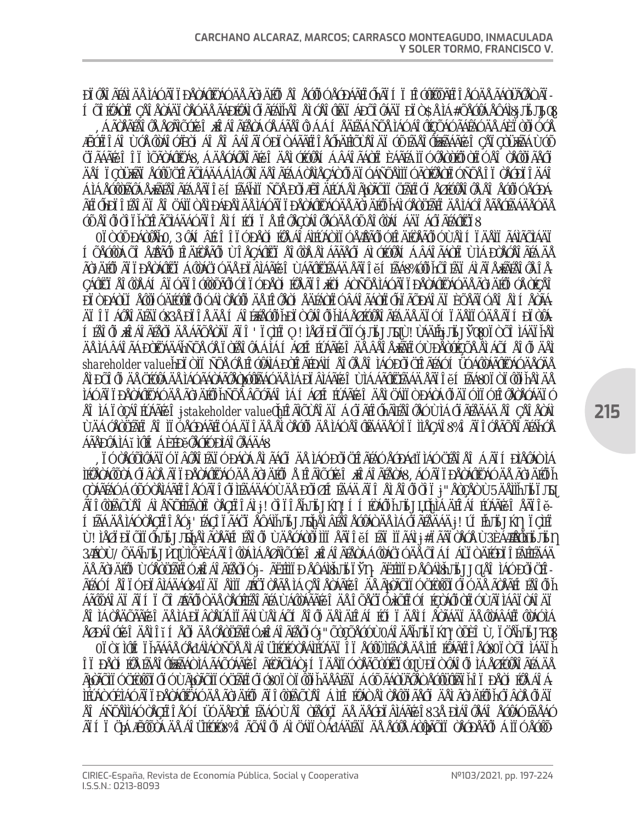potencial de las cooperativas de crédito en estos espacios, como instituciones de carácter comunitario generadores de capital social, en el sentido apuntado por De la Cuesta et al. (2021).

La creciente exclusión financiera se acentúa a medida que las antiguas cajas de ahorros se fusionan y se transforman en bancos por acciones, diluyendo su identificación geográfica y su vocación no lucrativa. La desatención del sistema bancario hacia los territorios en retroceso demográfico está vinculada a la tendencia a relegar todos aquellos criterios que no respondan a la estricta eficiencia económica, lo que profundiza el círculo vicioso existente en estos espacios, poniendo en valor el papel de las cooperativas de crédito, al servicio de las necesidades de su entorno, vinculadas con el mismo e integrantes de su entramado asociativo.

Por su parte, PLS también nos permite analizar los efectos indirectos y el modelo calculado muestra un efecto indirecto y negativo entre el acceso al sistema bancario y la presencia de crédito cooperativo a través de población y actividad económica. Esto, unido al coeficiente negativo entre ambos constructos nos permite confirmar que las cooperativas de crédito se rigen por parámetros distintos al resto de intermediarios bancarios, ocupando huecos en el mercado no atendidos. Se pone de manifiesto, por tanto, la existencia de dos modelos de comportamiento financiero de acuerdo con Goglio & Alexopoulos (2012) y Ayadi, (2017). Por un lado, el de la banca privada, que se orienta a la maximización de beneficios y persigue el aumento del *shareholder value*, por lo que se instala principalmente en las provincias más atractivas desde el punto de vista de las características de la población y la actividad económica. Por otro, el de las cooperativas de crédito, que buscan la maximización del valor para todos los interesados en la organización (*stakeholder value*), incluyendo a socios, clientes y la sociedad en general y da servicio en los espacios a donde el resto de las entidades no llegan. En consecuencia, se acepta la última hipótesis planteada.

Los resultados obtenidos para el caso de las provincias españolas vienen a completar la literatura sobre cooperativas de crédito e inclusión financiera. Las cooperativas de crédito, gracias a sus relaciones consolidadas y de proximidad con el entorno (Berger y Udell, 2002) contribuyen al equilibrio regional (Arnone, 2015; Ammirato, 2018), la dinamización económica de las regiones (Giagnocavo et al, 2012), el bienestar de la sociedad (Azmi, 2015; Goglio y Alexopoulos, 2012), el crecimiento y desarrollo económico local (Coccorese y Shaffer,2020; Sfar y Ouda, 2016) y lucha contra la exclusión financiera a través de una mayor disponibilidad de crédito y servicios financieros (Mckillop et al., 2007; Mckillop et al., 2011) en las provincias menos pobladas. Todo ello favorece la generación de círculos virtuosos de crecimiento, actuando como un factor de resiliencia y atracción de nuevos flujos migratorios y colaborando en la reducción de la pobreza local y el aumento del dinamismo del mercado de trabajo tras la expansión del número de servicios financieros (Burguess y Pande, 2005; Bruhn y Love, 2014).

Por último, cabe señalar que el análisis realizado no está libre de limitaciones. Por un lado, no permite identificar la causación circular (modelos recursivos) y por tanto la existencia de círculos virtuosos y círculos viciosos. Por otro, debido a su carácter estático, no permite analizar si las cooperativas de crédito contribuyen a limitar el retroceso del crédito, sobre todo en aquellas regiones más deprimidas y en riesgo de despoblación. Se plantean estas ideas como vía futura de análisis. En cuanto al valor añadido de este artículo respecto a los estu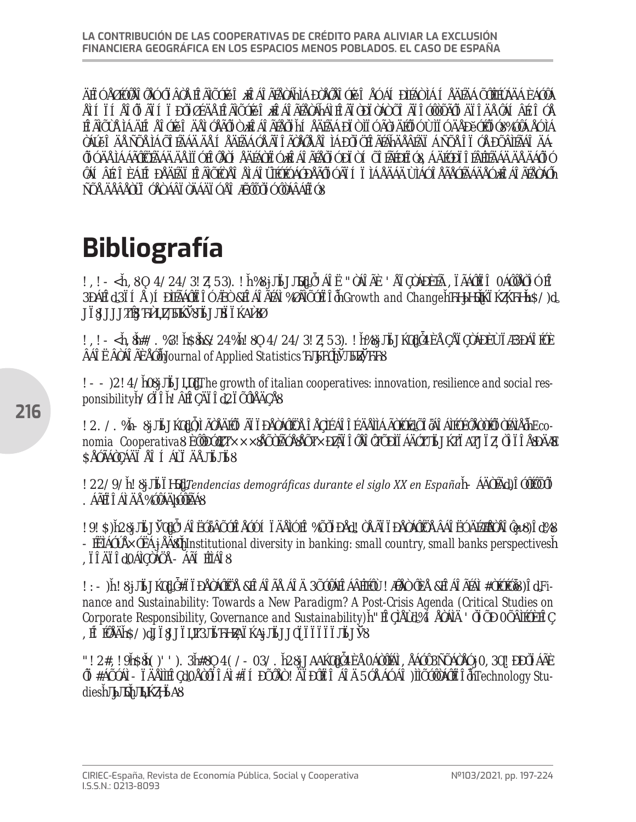dios existentes sobre inclusión financiera, la pretensión es ampliar la medida utilizada hasta el momento como proxi de inclusión financiera, al incorporar un constructo donde también se incluye la dimensión del sector financiero, medida por los créditos y los depósitos. Esta es la razón de que la unidad de medida se concrete en la provincia, debido a que no se publican datos de la actividad de los intermediarios financieros por municipios. La disponibilidad de datos también ha impedido incluir en el análisis aspectos como la edad y las necesidades financieras, que deberán ser abordados en futuros trabajos.

# Bibliografía

ALAMÁ, L. & TORTOSA-AUSINA, E. (2012): "Bank Branch Geographic Location Patterns in Spain: Some Implications for Financial Exclusion", *Growth and Change*, 43(3),505-543, DOI: 10.1111/j.1468-2257.2012.00596.x

ALAMÁ, L., CONESA, D., FORTE, A. & TORTOSA-AUSINA, E. (2015): "The geography of Spanish bank branches", *Journal of Applied Statistics* 42(4), 722-744.

AMMIRATO, P. (2018): *The growth of italian cooperatives: innovation, resilience and social responsibility*, Oxon, Abingdon: Routledge.

ARNONE, M. (2015): "Il credito cooperative negli anni della crisi: un'analisi territoriale", *Economia Cooperativa*. https://www.euricse.eu/wp-content/uploads/2015/09/10-Arnone.pdf. Descargado en mayo de 2020.

ARROYO, A. (2003): *Tendencias demográficas durante el siglo XX en España*, Madrid: Instituto Nacional de Estadística.

AYADI, R. (2017): "Banks' business models in Europe: Are cooperative banks different?". In: E. Miklaszewska (ed.), *Institutional diversity in banking: small country, small banks perspectives*, London: Palgrave Macmillan.

AZMI, A. (2015): "Cooperative Finance and Sustainability After the Financial Crisis". In: *Finance and Sustainability: Towards a New Paradigm? A Post-Crisis Agenda (Critical Studies on Corporate Responsibility, Governance and Sustainability)*, Bingley: Emerald Group Publishing Limited, DOI: 10.1108/S2043-9059(2011)0000002017.

BARCLAY, D., HIGGINS, C. & THOMPSON, R. (1995): "The Partial Least Squares (PLS) Approach to Causal Modelling: Personal Computer Adoption and Use as an Illustration", *Technology Studies*, 2(2), 285-309.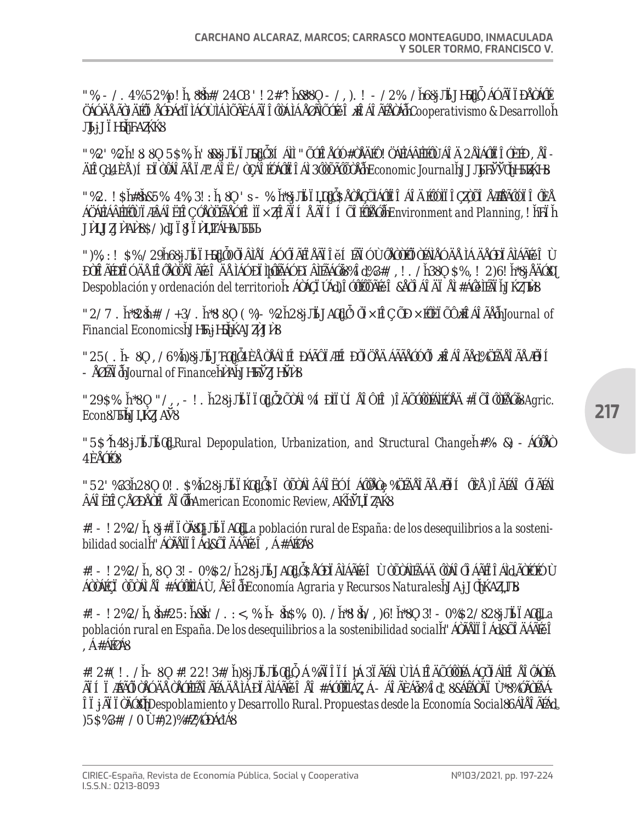BELMONTE UREÑA, L.J., CORTÉS GARCÍA, F.J. & MOLINA MORENO, V. (2013): "Las cooperativas de crédito españolas y la lucha contra la exclusión financiera", *Cooperativismo & Desarrollo*, 21(103), 49-55.

BERGER, A.N. & UDEL, G.F. (2002): "Small Business Credit Availability and Relationship Lending: The Importance of Bank Organisational Structure", *Economic Journal*, 112(477), 32-53.

BERNAD, C., FUENTELSAZ, L. & GÓMEZ, J. (2008): "Deregulation and its long-run effects on the availability of banking services in low-income communities", *Environment and Planning,* A, 40, 1681-1696. DOI: 10.1068/a39222

BIELZA DE ORY, V. (2003): "Problemas socioeconómicos y territoriales de la despoblación y principios de intervención de las políticas públicas". En: ESCOLANO, S. & DE LA RIVA, J. (eds.) *Despoblación y ordenación del territorio*, Zaragoza: Institución Fernando el Católico, 15-26.

BROWN, J.R., COOKSON, J.A. & HEIMER, R. (2019): "Growing up without finance", *Journal of Financial Economics*, 134 (3), 591-616.

BRUHN, M. & LOVE, I. (2014): "The real impact of improved access to finance: Evidence from Mexico", *Journal of Finance*, 69, 1347-1376.

BRYDEN, J. & BOLLMAN, R. (2000): "Rural Employment in Industrialised Countries". *Agric. Econ*. 22, 185-197.

BUDÍ, T. (2020): *Rural Depopulation, Urbanization, and Structural Change*, CEMFI Master Thesis.

BURGESS, R. & PANDE, R. (2005): "Do rural banks matter? Evidence from the Indian social banking experiment", *American Economic Review,* 95, 780-95.

CAMARERO, L. (Coord.) (2009): *La población rural de España: de los desequilibrios a la sostenibilidad social*, Barcelona: Fundación La Caixa.

CAMARERO, L. & SAMPEDRO, R. (2019): "Despoblación y ruralidad transnacional: crisis y arraigo rural en Castilla y León", *Economía Agraria y Recursos Naturales*, 19 (1), 59-82.

CAMARERO, L., CRUZ, F., GONZÁLEZ, M., DEL PINO, J.A., OLIVA, J. & SAMPEDRO. R. (2009): *La población rural en España. De los desequilibrios a la sostenibilidad social*, Barcelona: Fundación La Caixa.

CARCHANO, M. & CARRASCO, I. (2020): "La Economía Social y la industria agroalimentaria como factores de resiliencia de la población en Castilla-La Mancha". En: G. Fajardo y J. Escribano (coords.), *Despoblamiento y Desarrollo Rural. Propuestas desde la Economía Social*. Valencia: IUDESCOOP y CIRIEC-España.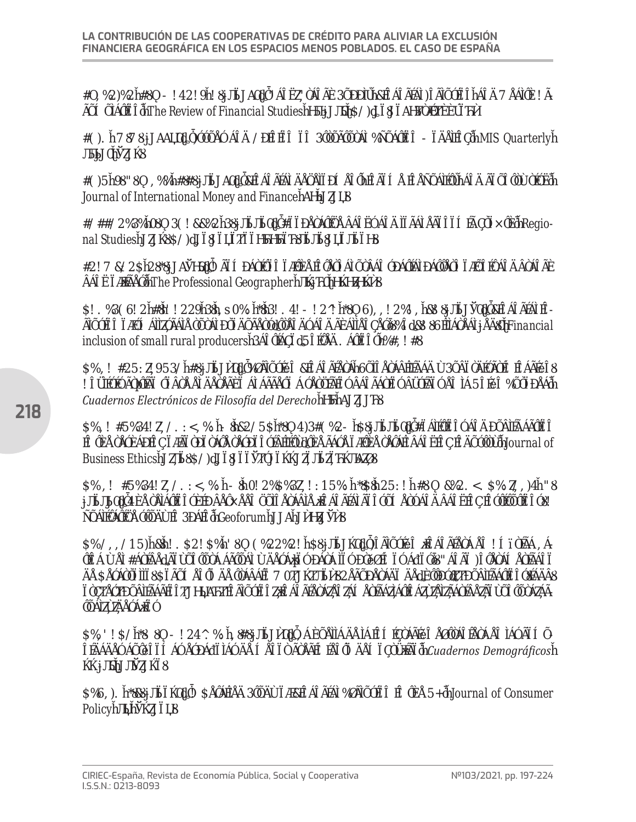CÉLERIER, C. & MATRAY, A. (2019): "Bank-Branch Supply, Financial Inclusion, and Wealth Accumulation", *The Review of Financial Studies*, 32 (12), DOI:10.1093/rfs/hhz046

CHIN, W.W. (1998): "Issues and Opinion on Structural Equation Modeling", *MIS Quarterly*, 22(1), 7-15.

CHIU, Y. B. & LEE, C.C. (2019): "Financial development, income inequality, and country risk", *Journal of International Money and Finance*, 93, 1-18.

COCCORESE, P. & SHAFFER, S. (2020): "Cooperative banks and local economic growth", *Regional Studies*, 1-15. DOI: 10.1080/00343404.2020.1802003.

CRAWFORD, R. J. (1973): "A comparison of the internal urban spatial pattern of unit and branch bank offices", *The Professional Geographer*, 25(4), 353-356.

DANESHVAR, C., GARRY, S., LÓPEZ, J., SANTAMARÍA, J. & VILLAREAL, F.G. (2017): "Financial inclusion of small-scale rural producers: trends and challenges". En: F.G. Villareal (ed.), *Financial inclusion of small rural producers*, Santiago: United Nations, ECLAC.

DE LA CRUZ-AYUSO, C. (2016): "Exclusión Financiera, Vulnerabilidad y Subordiscriminación. Análisis crítico sobre el derecho al acceso a servicios bancarios básicos en la Unión Europea", *Cuadernos Electrónicos de Filosofía del Derecho*, 34, 91-114.

DE LA CUESTA-GONZÁLEZ, M., FROUD, J. & TISCHERM, D. (2020): "Coalitions and public action in the reshaping of corporate responsibility: the case of the retail banking industry", *Journal of Business Ethics*, 1-20. DOI: 10.1007/s10551-020-04529-x.

DE LA CUESTA-GONZÁLEZ, M., PAREDES-GAZQUEZ, J.D., RUZA, C. & FERNÁNDEZ-OLIT, B. (2021): "The relationship between vulnerable financial consumers and banking institutions. A qualitative study in Spain", *Geoforum*, 119, 163-176.

DE OLLOQUI, F., ANDRADE, G. & HERRERA, D. (2015): "Inclusión financiera en América Latina y el Caribe: coyuntura actual y desafíos para los próximos años". Banco Interamericano de Desarrollo. Documento de trabajo WP/15/206. Recuperado de: https://publications.iadb. org/es/publicacion/13894/inclusion-financiera-en-america-latina-y-el-caribe-coyuntura-actual-y-desafios

DELGADO, J.M. & MARTÍNEZ, L.C. (2016): "La huella de la inmigración extranjera en las comunidades autónomas españolas de menor crecimiento demográfico", *Cuadernos Demográficos*, 55 (2), 127-150.

DEVLIN, J.F. (2005): "A Detailed Study of Financial Exclusion in the UK", *Journal of Consumer Policy*, 28, 75-108.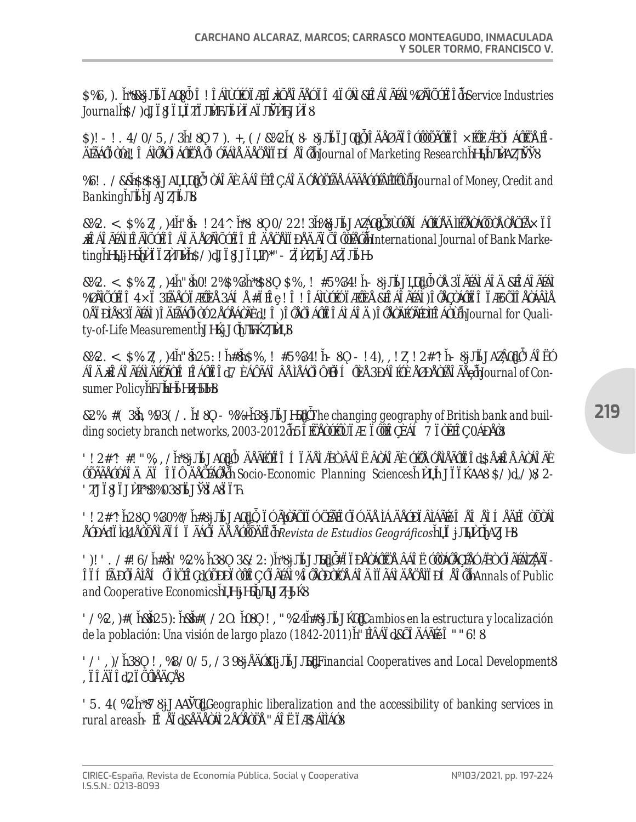DEVLIN, J.F. (2009). "An Analysis of Influences on Total Financial Exclusion", *Service Industries Journal*, DOI: 10.1080/02642060902764160.

DIAMANTOPOULOS, A. & WINKLHOFER, H. M. (2001): "Index construction with formative indicators: An alternative to scale development", *Journal of Marketing Research*, 38, 269-277.

EVANOFF, D.D. (1988): "Branch banking and service accessibility", *Journal of Money, Credit and Banking*, 20, 191-202.

FERNÁNDEZ-OLIT, B., MARTÍN, J.M. & PORRAS, E. (2019-a): "Systematized literature review on financial inclusion and exclusion in developed countries", *International Journal of Bank Marketing*, 38 (3), 600-626, DOI: 10.1108/IJBM-06-2019-0203

FERNÁNDEZ-OLIT, B., PAREDES, J.D. & DE LA CUESTA, M. (2018): "Are Social and Financial Exclusion Two Sides of the Same Coin? An Analysis of the Financial Integration of Vulnerable People. Social Indicators Research: An International and Interdisciplinary", *Journal for Quality-of-Life Measurement*, 135(1), 245-268.

FERNÁNDEZ-OLIT, B., RUZA, C., DE LA CUESTA, M. & MATILLA-GARCÍA, M. (2019-b): "Banks and financial discrimination: What can be learnt from the Spanish experience?", *Journal of Consumer Policy*, 42, 303-323.

FRENCH S., LEYSHON, A. & MEEK, S. (2013): "*The changing geography of British bank and building society branch networks, 2003-2012*", University of Nottingham Working Paper.

GARCÍA CABELLO, J. (2019): "A decision model for bank branch site selection: Define branch successand do not deviate", *Socio-Economic Planning Sciences*, 68, 100599. DOI: OI.OR-G/10.1016/J.SEPS.2017.09.004

GARCÍA, R. & ESPEJO, C. (2019): "Los círculos viciosos de la despoblación en el medio rural español: Teruel como caso de estudio", *Revista de Estudios Geográficos*, 80 (286), 9-13.

GIAGNOCAVO, C., GEREZ, S. & SFORZI, J. (2012): "Cooperative bank strategies for social-economic problem solving: supporting social Enterprise and local development", *Annals of Public and Cooperative Economics*, 83 (3), 281-315.

GOERLICH, F., RUIZ, F., CHORÉN, P. & ALBERT, C. (2015): *Cambios en la estructura y localización de la población: Una visión de largo plazo (1842-2011)*, Bilbao: Fundación BBVA.

GOGLIO, S. & ALEXOPOULOS Y. (eds.) (2012): *Financial Cooperatives and Local Development*. London: Routledge.

GUNTHER, J.W. (1997): *Geographic liberalization and the accessibility of banking services in rural areas*, Mimeo: Federal Reserve Bank of Dallas.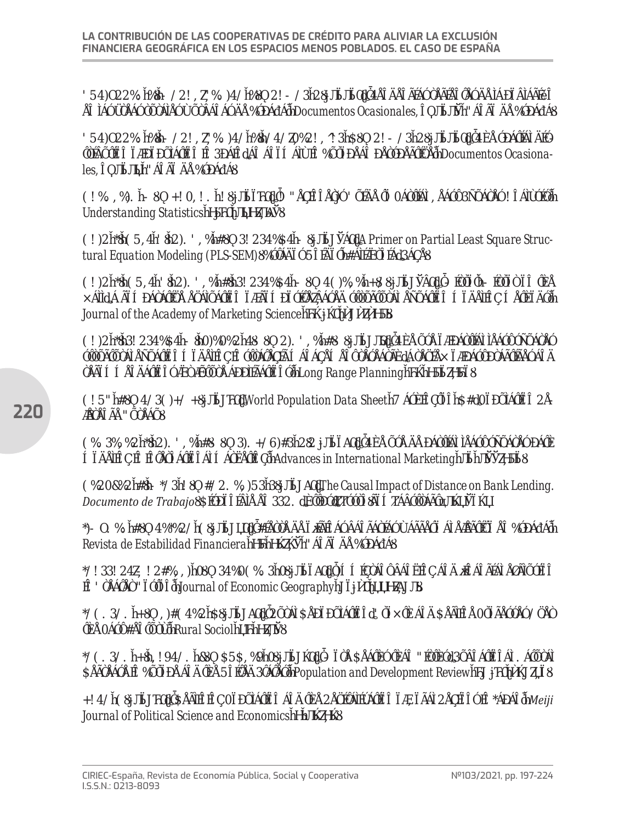GUTIÉRREZ, E., MORAL-BENITO, E. & RAMOS, R. (2020): "Tendencias recientes de la población en las áreas rurales y urbanas de España", *Documentos Ocasionales,* nº 2027, Banco de España.

GUTIÉRREZ, E., MORAL-BENITO, E., OTO-PERALÍAS, D. & RAMOS, R. (2020): "The spatial distribution of population in Spain: an anomaly in European perspective", *Documentos Ocasionales,* nº 2028, Banco de España.

HAENLEIN, M. & KAPLAN, A. (2004): "A Beginner´s Guide to Partial Least Squares Analysis", *Understanding Statistics*, 3(4), 283-297.

HAIR, J., HULT, G., RINGLE, C. & SARSTEDT, M. (2017a): *A Primer on Partial Least Square Structural Equation Modeling (PLS-SEM)*. Estados Unidos, California: Sage.

HAIR, J., HULT, G., RINGLE, C., SARSTEDT, M. & THIELE, K.O. (2017b): "Mirror, Mirror on the wall: a comparative evaluation of composite-based structural equation modeling methods", *Journal of the Academy of Marketing Science*, 45 (5), 616-632.

HAIR, J., SARSTEDT, M., PIEPER, T.M. & RINGLE, C.M. (2012): "The use of partial least squares structural equation modeling in strategic management research: a review of past practices and recommendations for future applications", *Long Range Planning*, 45, 320-340.

HAUB, C. & TOSHIKO K. (2014): *World Population Data Sheet*, Washington, DC: Population Reference Bureau.

HENSELER, J., RINGLE, C.M. & SINKOVICS, R.R. (2009): "The use de partial least squares path modeling in international marketing", *Advances in International Marketing*, 20, 277-320.

HERPFER, C., MJOS, A. & CORNELIUS, S. (2019): *The Causal Impact of Distance on Bank Lending. Documento de Trabajo*. Disponible en SSRN: https://ssrn.com/abstract=2587058

JIMENEZ, C. & TEJERO, H. (2018): "Cierre de oficinas bancarias y acceso al efectivo en España", *Revista de Estabilidad Financiera*, 34, 35-57, Banco de España.

JOASSART-MARCELLI, P. & STEPHENS, P. (2009): "Immigrant banking and financial exclusion in Greater Boston", *Journal of Economic Geography*, 10(6), 883-912.

JOHNSON, K. & LICHTER, D. (2019): "Rural Depopulation: Growth and Decline Processes Over the Past Century", *Rural Sociol*, 84, 3-27.

JOHNSON, K., LAYTON, F. & DUDLEY, P. (2015): "More Deaths than Births: Subnational Natural Decrease in Europe and the United States", *Population and Development Review*, 41 (4), 651-80.

KATO, H. (2014): "Declining Population and the Revitalization of Local Regions in Japan", *Meiji Journal of Political Science and Economics*, 3, 25-35.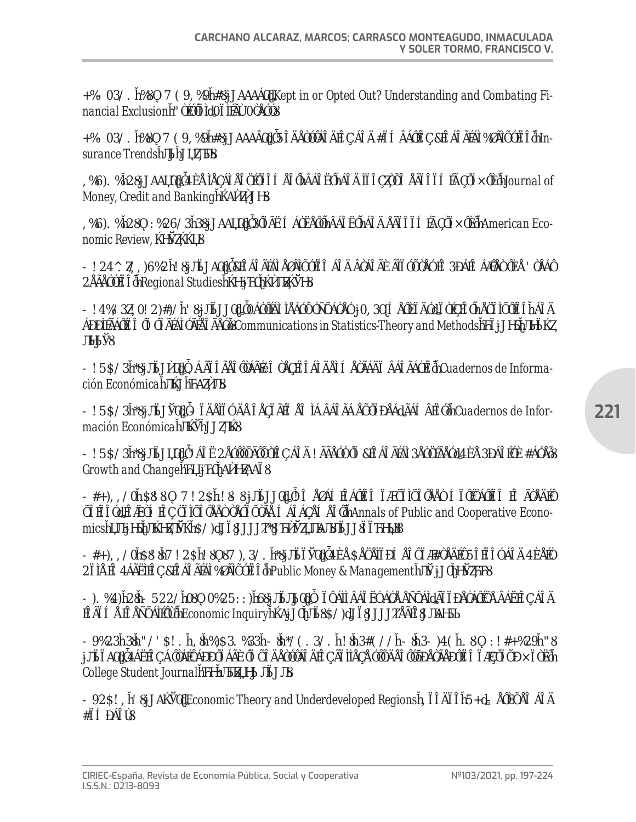KEMPSON, E. & WHYLEY, C. (1999a): *Kept in or Opted Out? Understanding and Combating Financial Exclusion*, Bristol: Policy Press.

KEMPSON, E. & WHYLEY, C. (1999b): "Understanding and Combating Financial Exclusion", *Insurance Trends*, 21, 18-22.

LEVINE, R. (1998): "The legal environment, banks, and long-run economic growth", *Journal of Money, Credit and Banking*, 596-613.

LEVINE, R. & ZERVOS, S. (1998): "Stock markets, banks, and economic growth", *American Economic Review,* 537-558.

MARTÍN-OLIVER, A. (2019): "Financial exclusion and branch closures in Spain after the Great Recession", *Regional Studies*, 53 (4), 562-573.

MATEOS-APARICIO, G. (2011): "Partial least squares (PLS) methods: origins, evolution, and application to social sciences". *Communications in Statistics-Theory and Methods*, 40(13), 2305- 2317.

MAUDOS, J. (2016): "La concentración regional del mercado bancario", *Cuadernos de Información Económica*, 251, 49-62.

MAUDOS, J. (2017): "Modelos de negocio en la banca europea: cambios", *Cuadernos de Información Económica*, 257, 11-25.

MAUDOS, J. (2018): "Bank Restructuring and Access to Financial Services: The Spanish Case". *Growth and Change*, 48 (4), 963-990.

MCKILLOP, D.G. & WARD, A.M. (2011): "An examination of volunteer motivation in credit unions: informing volunteer resource management", *Annals of Public and Cooperative Economics*, 82 (3), 253-275, DOI: 10.1111/J.1467-8292.2011.00438.X

MCKILLOP, D.G., WARD, A. &. WILSON, J. (2007): "The Development of Credit Unions and Their Role in Tackling Financial Exclusion", *Public Money & Management*, 27 (1), 37-44.

MINETI, R., MURRO, P. & PERUZZI, V. (2021): "Not all banks are equal: cooperative baking and income inequality", *Economic Inquiry*, 59(1), 20. DOI: 10.1111/ecin.12932

MYERS, S., BOGDAN, L., EIDSNESS, M., JOHNSON, A., SCHOO, M., SMITH, N. & ZACKERY, B. (2009): "Taking a trait approach to understanding college students' perception of group work", *College Student Journal*, 43, 22-831 2012.

MYRDAL, G. (1957): *Economic Theory and Underdeveloped Regions*, London, UK: Methuen and Company.

221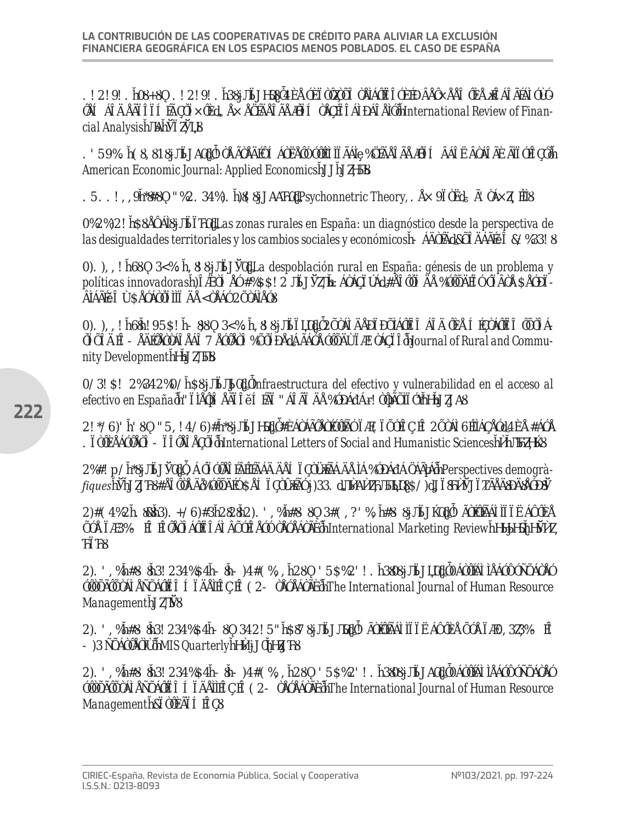NARAYAN, P. K. & NARAYAN, S. (2013). "The short-run relationship between the financial system and economic growth: New evidence from regional panels", *International Review of Financial Analysis*, 29, 70-78.

NGUYEN, H. L. Q. (2019): "Are credit markets still local? Evidence from bank branch closings", *American Economic Journal: Applied Economics*, 11, 1-32.

NUNNALLY, J.C. & BERNSTEIN, I.H. (1994): *Psychonnetric Theory,* New York: McGraw-Hill.

PEREIRA, D. et al. (2004): *Las zonas rurales en España: un diagnóstico desde la perspectiva de las desigualdades territoriales y los cambios sociales y económicos*, Madrid: Fundación FOESSA.

PINILLA, V. & SÁEZ, L.A. (2017): *La despoblación rural en España: génesis de un problema y políticas innovadoras*, Informes CEDDAR 2017-2, Zaragoza: Centro de Estudios sobre Despoblación y Desarrollo de Áreas Rurales.

PINILLA, V., AYUDA, M.I. & SÁEZ, L.A. (2008): "Rural depopulation and the migration turnaround in Mediterranean Western Europe: a case study of Aragon", *Journal of Rural and Community Development*, 3, 1-22.

POSADA RESTREPO, D. (2021): "*Infraestructura del efectivo y vulnerabilidad en el acceso al efectivo en España*", Boletín económico Banco de España [Artículos], 3, 1-19.

RAJOVIG, G. & BULATOVIC, J. (2013): "Characteristics of Housing in Rural Villages: The Case Northeastern Montenegro", *International Letters of Social and Humanistic Sciences*, 6, 24-35.

RECAÑO, J. (2017): "La sostenibilidad demográfica de la España vacía", *Perspectives demogràfiques*, 7, 1-14. Centre d'Estudis Demogràfics (ISSN: 2696-4228). DOI: 10.46710/ced.pd.esp.7

RICHTER, N.F., SINKOVICS, R.R., RINGLE, C.M. & SCHLÄGEL, C.M. (2015): "A critical look at the use of SEM in international business research", *International Marketing Review*, 33(3), 376- 404.

RINGLE, C.M., SARSTEDT, M., MITCHELL, R. & GUDERGAN, S.P. (2018): "Partial least squares structural equation modeling in HRM research", *The International Journal of Human Resource Management*, 1-27.

RINGLE, C.M., SARSTEDT, M. & STRAUB, D.W. (2012): "A critical look at the use of PLS-SEM in MIS quarterly", *MIS Quarterly*, 36 (1), 3-14.

RINGLE, C.M., SARSTEDT, M., MITCHELL, R. & GUDERGAN, S.P. (2019): "Partial least squares structural equation modelling in HRM research", *The International Journal of Human Resource Management*, Forthcoming.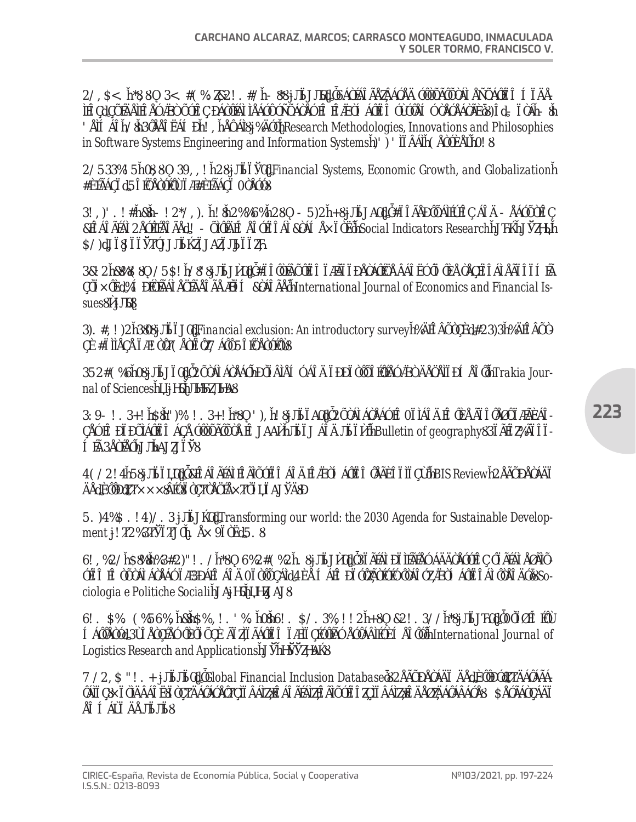ROLDÁN, J.L. & SÁNCHEZ-FRANCO, M.J. (2012): "Variance-based structural equation modeling: guidelines for using partial least squares in information systems research". In: Mora, M., Gelman, O., Steenkamp, AL, et al. (Eds), *Research Methodologies, Innovations and Philosophies in Software Systems Engineering and Information Systems*, IGI Global, Hershey, PA.

ROUSSEAU, P.L. & SYLLA, R. (2007): *Financial Systems, Economic Growth, and Globalization*, Chicago: University of Chicago Press.

SALIGNAC, F., MARJOLIN, A., REEVE, R. & MUIR, K. (2019): "Conceptualizing and Measuring Financial Resilience: A Multidimensional Framework", *Social Indicators Research*, 145, 17-38, DOI: 10.1007/s11205-019-02100-4

SFAR, F.E.H. & OUDA, QB. (2016): "Contribution of cooperative banks to the regional economic growth: Empirical evidence from France", *International Journal of Economics and Financial Issues*. 6(2).

SINCLAIR, S.P. (2001): *Financial exclusion: An introductory survey*, Edinburgh: CRSIS, Edinburgh College of Art/Heriot-Watt University.

SURCHEV, P. (2010): "Rural areas, problems and opportunities for development", *Trakia Journal of Sciences*, 8 (3), 234-239.

SZYMANSKA, D., BIEGANSKA, J. & GIL, A. (2009): "Rural areas in Poland in the context of changes in population age structure in 1996, 2001 and 2006", *Bulletin of geography*. Socio-Economic Series, 12, 91-107.

THORAT, U. (2008): "Financial inclusion and information technology", *BIS Review*, Recuperado de: http://www.bis.org/review/r080917d.p

UNITED NATIONS (2015): *Transforming our world: the 2030 Agenda for Sustainable Development* (A/RES/70/1), New York: UN.

VALERO, D.E., ESCRIBANO, J. & VERCHER, N. (2016): "Social policies addressing social exclusion in rural areas of Spain and Portugal: The main post-crisis trans- formational trends". *Sociologia e Politiche Sociali*, 19(3), 83-191.

VAN DEN HEUVEL, F., DE LANGEN, P., VAN DONSELAAR, K. & FRANSOO, J. (2014): "Proximity matters: Synergies through co-location of logistics establishments", *International Journal of Logistics Research and Applications*, 17, 377-395.

WORLD BANK (2020): "*Global Financial Inclusion Database*". Recuperado de: https://datacatalog.worldbank.org/dataset/global-financial-inclusion-global-findex-database. Descargado en mayo de 2020.

I.S.S.N.: 0213-8093